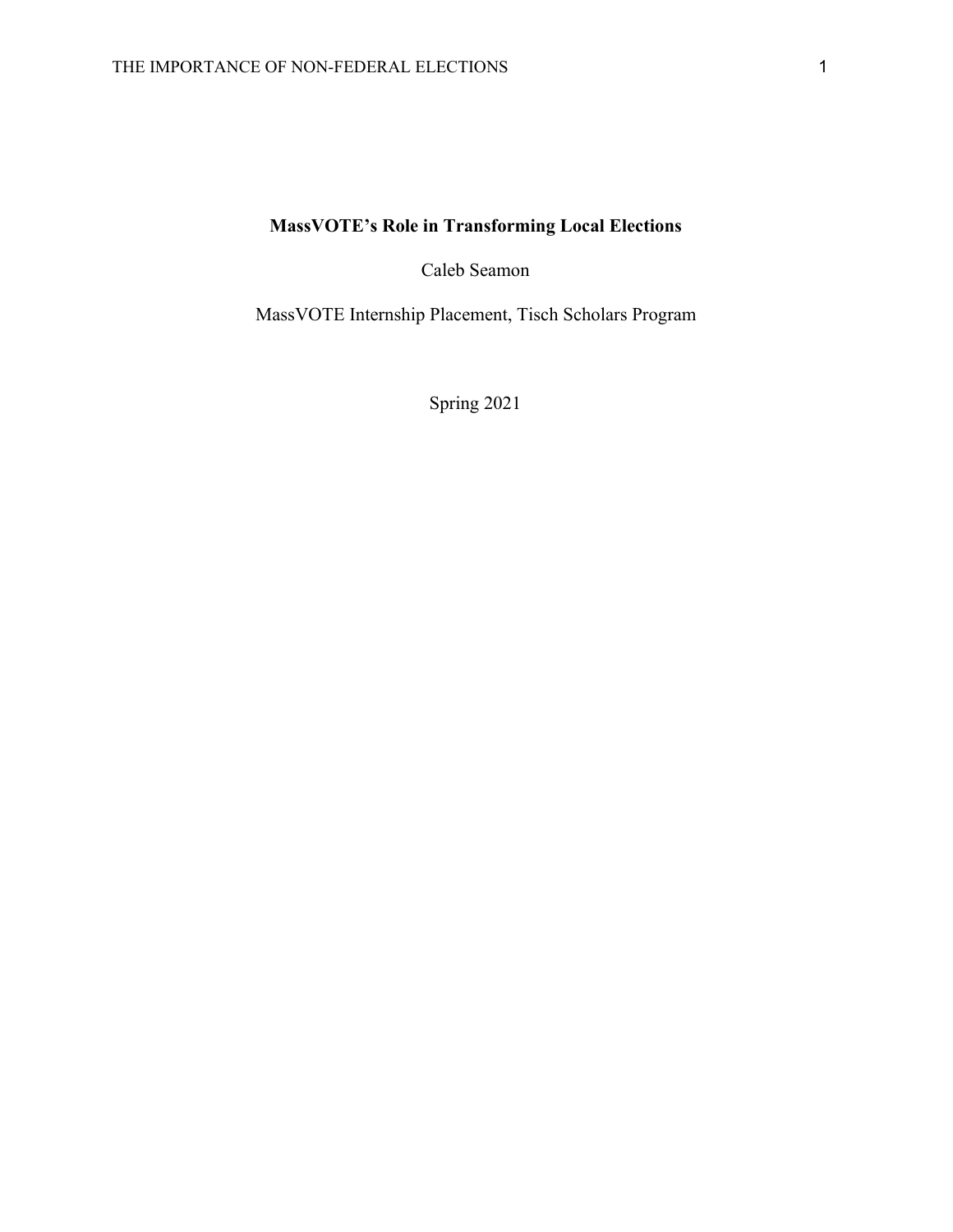# **MassVOTE's Role in Transforming Local Elections**

Caleb Seamon

MassVOTE Internship Placement, Tisch Scholars Program

Spring 2021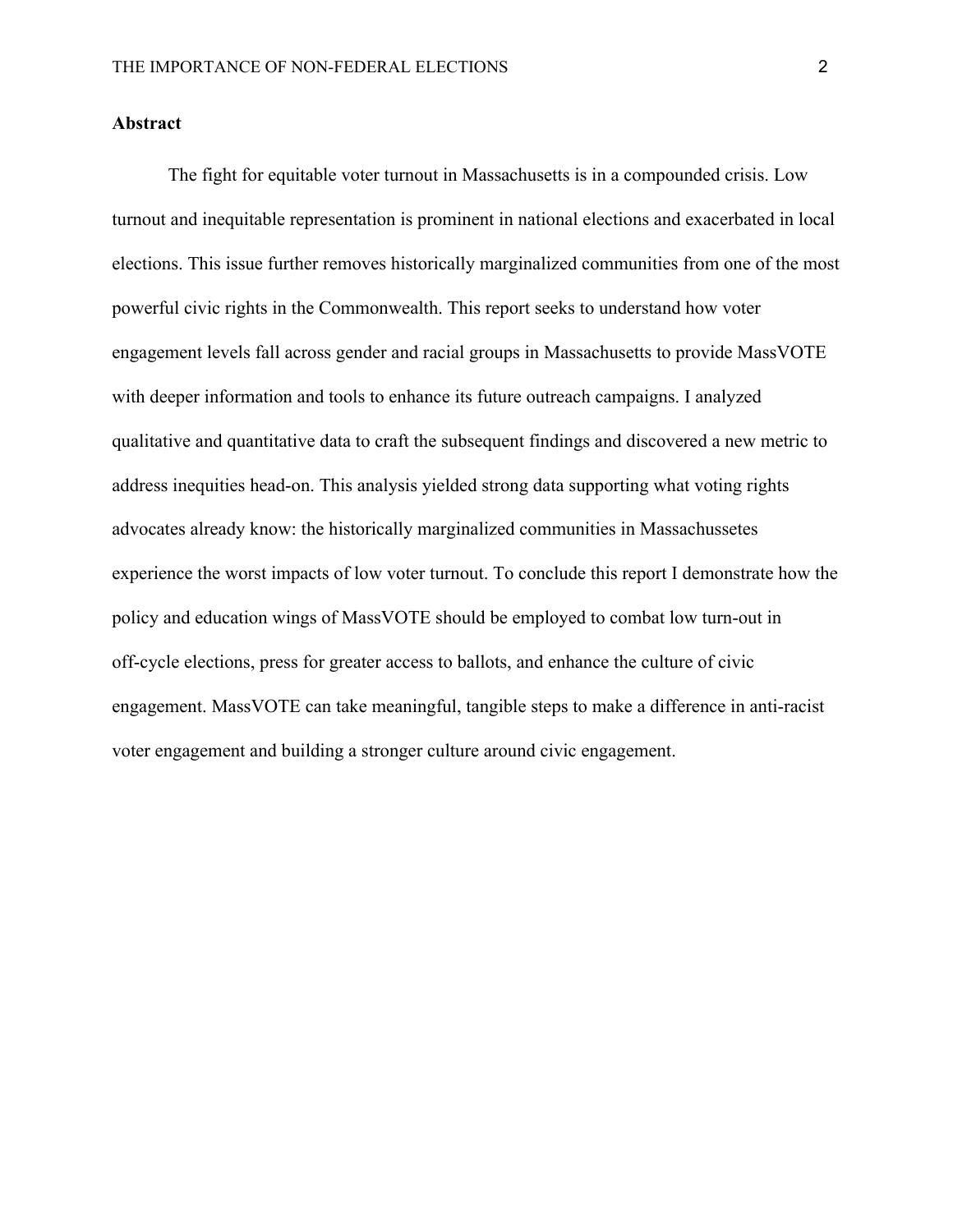## **Abstract**

The fight for equitable voter turnout in Massachusetts is in a compounded crisis. Low turnout and inequitable representation is prominent in national elections and exacerbated in local elections. This issue further removes historically marginalized communities from one of the most powerful civic rights in the Commonwealth. This report seeks to understand how voter engagement levels fall across gender and racial groups in Massachusetts to provide MassVOTE with deeper information and tools to enhance its future outreach campaigns. I analyzed qualitative and quantitative data to craft the subsequent findings and discovered a new metric to address inequities head-on. This analysis yielded strong data supporting what voting rights advocates already know: the historically marginalized communities in Massachussetes experience the worst impacts of low voter turnout. To conclude this report I demonstrate how the policy and education wings of MassVOTE should be employed to combat low turn-out in off-cycle elections, press for greater access to ballots, and enhance the culture of civic engagement. MassVOTE can take meaningful, tangible steps to make a difference in anti-racist voter engagement and building a stronger culture around civic engagement.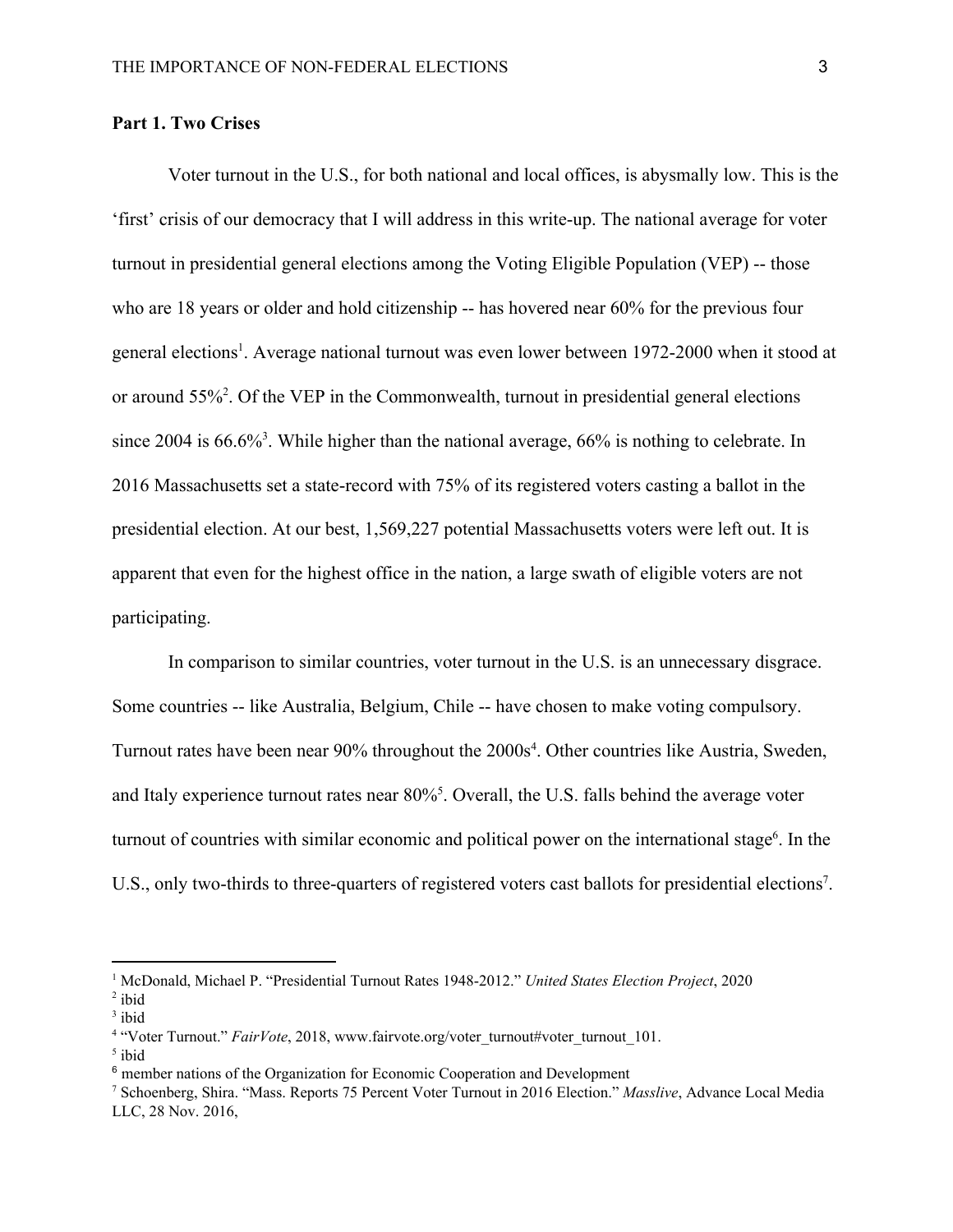# **Part 1. Two Crises**

Voter turnout in the U.S., for both national and local offices, is abysmally low. This is the 'first' crisis of our democracy that I will address in this write-up. The national average for voter turnout in presidential general elections among the Voting Eligible Population (VEP) -- those who are 18 years or older and hold citizenship -- has hovered near 60% for the previous four general elections<sup>1</sup>. Average national turnout was even lower between 1972-2000 when it stood at or around  $55\%^2$ . Of the VEP in the Commonwealth, turnout in presidential general elections since 2004 is  $66.6\%$ <sup>3</sup>. While higher than the national average,  $66\%$  is nothing to celebrate. In 2016 Massachusetts set a state-record with 75% of its registered voters casting a ballot in the presidential election. At our best, 1,569,227 potential Massachusetts voters were left out. It is apparent that even for the highest office in the nation, a large swath of eligible voters are not participating.

In comparison to similar countries, voter turnout in the U.S. is an unnecessary disgrace. Some countries -- like Australia, Belgium, Chile -- have chosen to make voting compulsory. Turnout rates have been near 90% throughout the 2000s<sup>4</sup>. Other countries like Austria, Sweden, and Italy experience turnout rates near 80%<sup>5</sup>. Overall, the U.S. falls behind the average voter turnout of countries with similar economic and political power on the international stage<sup> $6$ </sup>. In the U.S., only two-thirds to three-quarters of registered voters cast ballots for presidential elections<sup>7</sup>.

<sup>1</sup> McDonald, Michael P. "Presidential Turnout Rates 1948-2012." *United States Election Project*, 2020  $2$  ibid

<sup>&</sup>lt;sup>3</sup> ibid

<sup>&</sup>lt;sup>4</sup> "Voter Turnout." *FairVote*, 2018, www.fairvote.org/voter\_turnout#voter\_turnout\_101.

<sup>5</sup> ibid

<sup>6</sup> member nations of the Organization for Economic Cooperation and Development

<sup>7</sup> Schoenberg, Shira. "Mass. Reports 75 Percent Voter Turnout in 2016 Election." *Masslive*, Advance Local Media LLC, 28 Nov. 2016,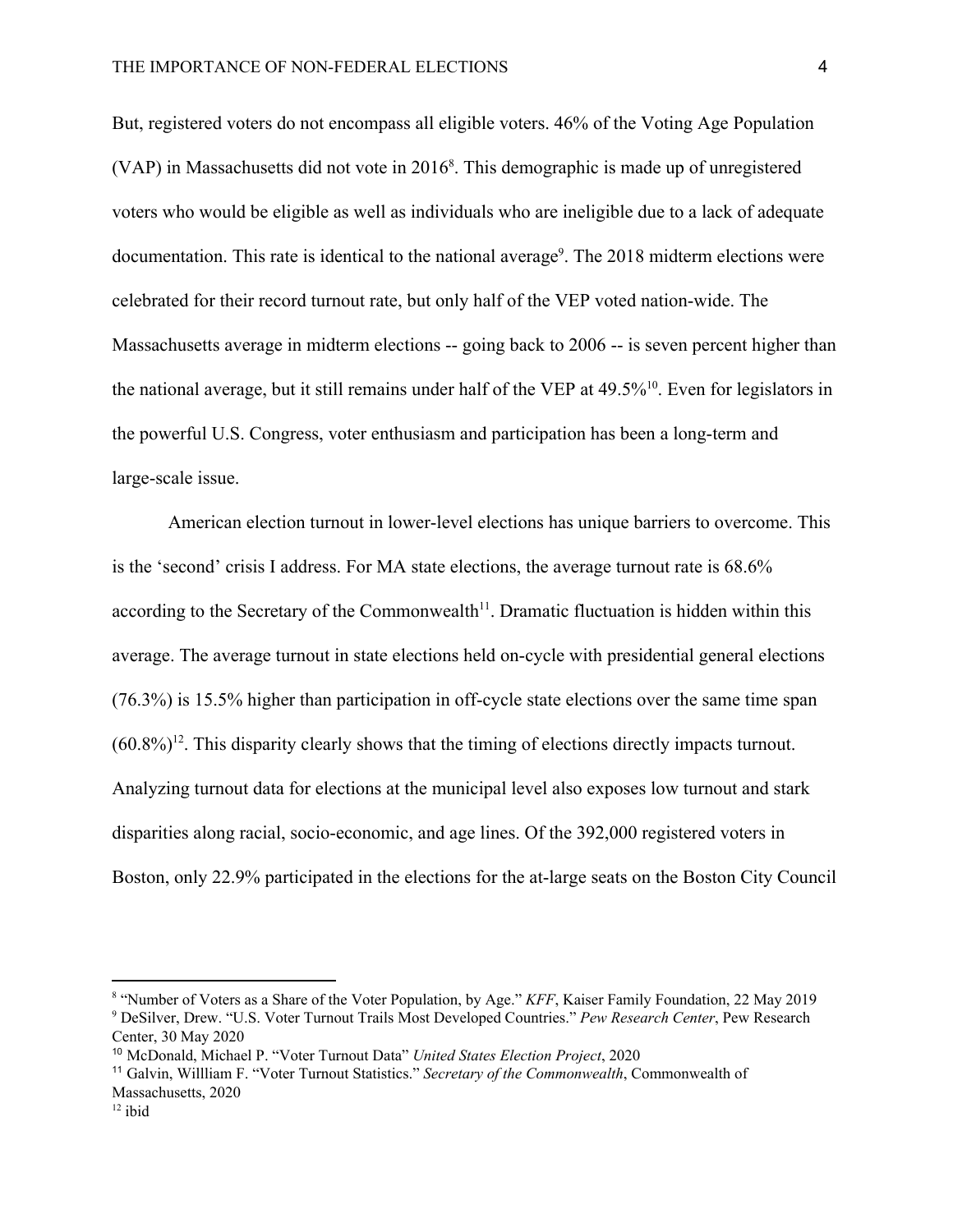But, registered voters do not encompass all eligible voters. 46% of the Voting Age Population (VAP) in Massachusetts did not vote in  $2016<sup>8</sup>$ . This demographic is made up of unregistered voters who would be eligible as well as individuals who are ineligible due to a lack of adequate documentation. This rate is identical to the national average<sup>9</sup>. The  $2018$  midterm elections were celebrated for their record turnout rate, but only half of the VEP voted nation-wide. The Massachusetts average in midterm elections -- going back to 2006 -- is seven percent higher than the national average, but it still remains under half of the VEP at  $49.5\%$ <sup>10</sup>. Even for legislators in the powerful U.S. Congress, voter enthusiasm and participation has been a long-term and large-scale issue.

American election turnout in lower-level elections has unique barriers to overcome. This is the 'second' crisis I address. For MA state elections, the average turnout rate is 68.6% according to the Secretary of the Commonwealth<sup> $11$ </sup>. Dramatic fluctuation is hidden within this average. The average turnout in state elections held on-cycle with presidential general elections (76.3%) is 15.5% higher than participation in off-cycle state elections over the same time span  $(60.8\%)$ <sup>12</sup>. This disparity clearly shows that the timing of elections directly impacts turnout. Analyzing turnout data for elections at the municipal level also exposes low turnout and stark disparities along racial, socio-economic, and age lines. Of the 392,000 registered voters in Boston, only 22.9% participated in the elections for the at-large seats on the Boston City Council

<sup>8</sup> "Number of Voters as a Share of the Voter Population, by Age." *KFF*, Kaiser Family Foundation, 22 May 2019 <sup>9</sup> DeSilver, Drew. "U.S. Voter Turnout Trails Most Developed Countries." *Pew Research Center*, Pew Research Center, 30 May 2020

<sup>10</sup> McDonald, Michael P. "Voter Turnout Data" *United States Election Project*, 2020

<sup>11</sup> Galvin, Willliam F. "Voter Turnout Statistics." *Secretary of the Commonwealth*, Commonwealth of Massachusetts, 2020

 $12$  ibid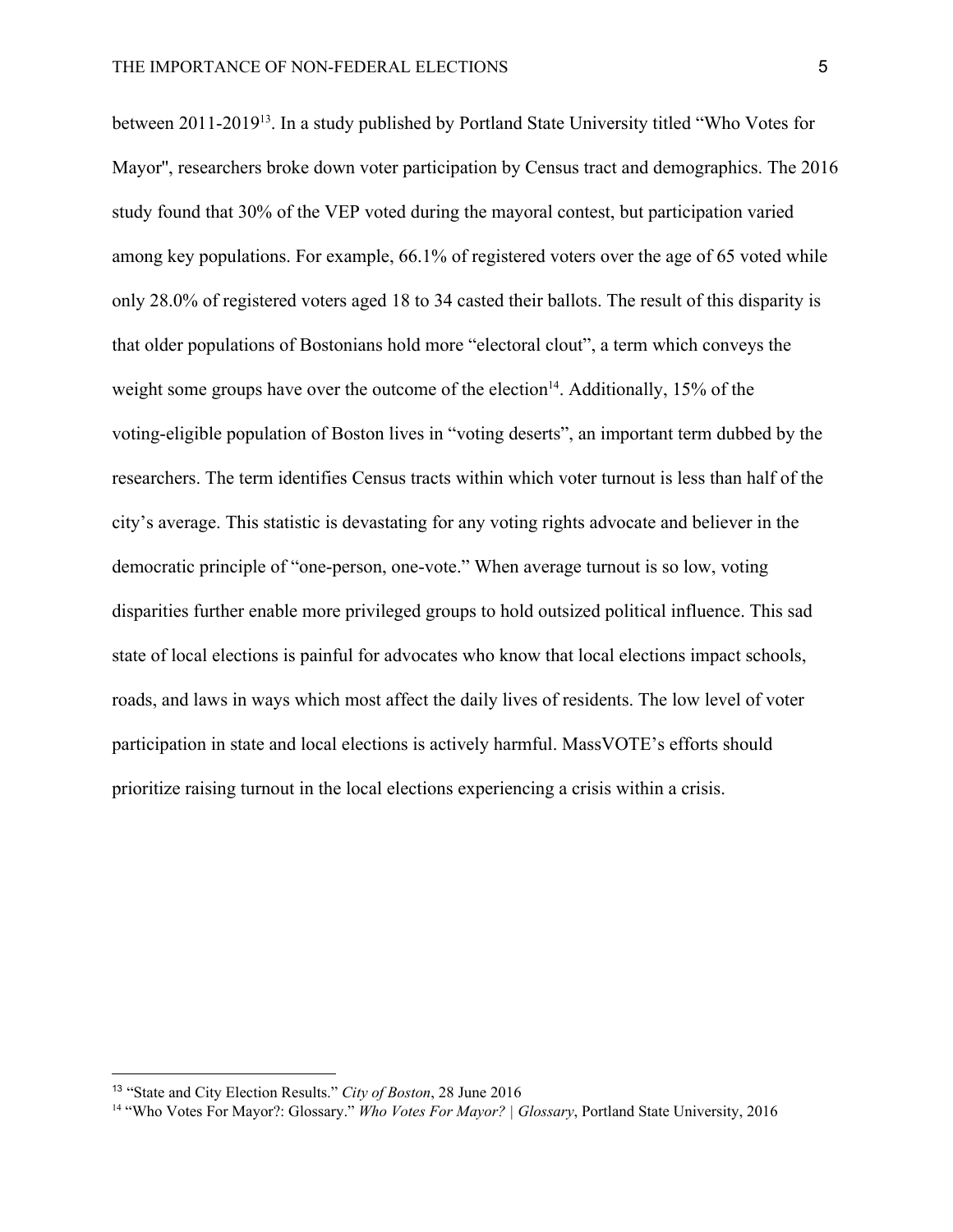between 2011-2019<sup>13</sup>. In a study published by Portland State University titled "Who Votes for Mayor'', researchers broke down voter participation by Census tract and demographics. The 2016 study found that 30% of the VEP voted during the mayoral contest, but participation varied among key populations. For example, 66.1% of registered voters over the age of 65 voted while only 28.0% of registered voters aged 18 to 34 casted their ballots. The result of this disparity is that older populations of Bostonians hold more "electoral clout", a term which conveys the weight some groups have over the outcome of the election<sup>14</sup>. Additionally, 15% of the voting-eligible population of Boston lives in "voting deserts", an important term dubbed by the researchers. The term identifies Census tracts within which voter turnout is less than half of the city's average. This statistic is devastating for any voting rights advocate and believer in the democratic principle of "one-person, one-vote." When average turnout is so low, voting disparities further enable more privileged groups to hold outsized political influence. This sad state of local elections is painful for advocates who know that local elections impact schools, roads, and laws in ways which most affect the daily lives of residents. The low level of voter participation in state and local elections is actively harmful. MassVOTE's efforts should prioritize raising turnout in the local elections experiencing a crisis within a crisis.

<sup>13</sup> "State and City Election Results." *City of Boston*, 28 June 2016

<sup>14</sup> "Who Votes For Mayor?: Glossary." *Who Votes For Mayor? | Glossary*, Portland State University, 2016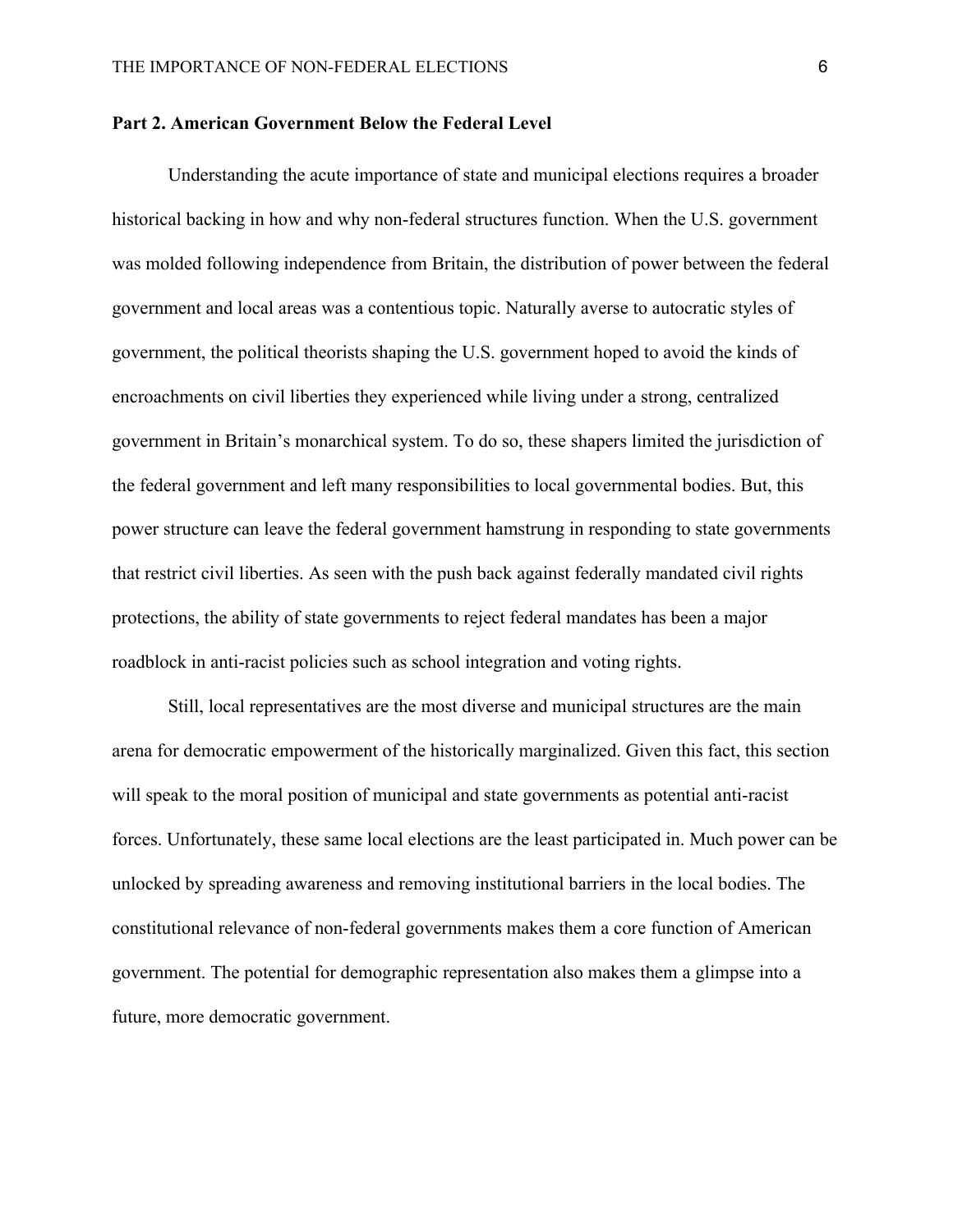#### **Part 2. American Government Below the Federal Level**

Understanding the acute importance of state and municipal elections requires a broader historical backing in how and why non-federal structures function. When the U.S. government was molded following independence from Britain, the distribution of power between the federal government and local areas was a contentious topic. Naturally averse to autocratic styles of government, the political theorists shaping the U.S. government hoped to avoid the kinds of encroachments on civil liberties they experienced while living under a strong, centralized government in Britain's monarchical system. To do so, these shapers limited the jurisdiction of the federal government and left many responsibilities to local governmental bodies. But, this power structure can leave the federal government hamstrung in responding to state governments that restrict civil liberties. As seen with the push back against federally mandated civil rights protections, the ability of state governments to reject federal mandates has been a major roadblock in anti-racist policies such as school integration and voting rights.

Still, local representatives are the most diverse and municipal structures are the main arena for democratic empowerment of the historically marginalized. Given this fact, this section will speak to the moral position of municipal and state governments as potential anti-racist forces. Unfortunately, these same local elections are the least participated in. Much power can be unlocked by spreading awareness and removing institutional barriers in the local bodies. The constitutional relevance of non-federal governments makes them a core function of American government. The potential for demographic representation also makes them a glimpse into a future, more democratic government.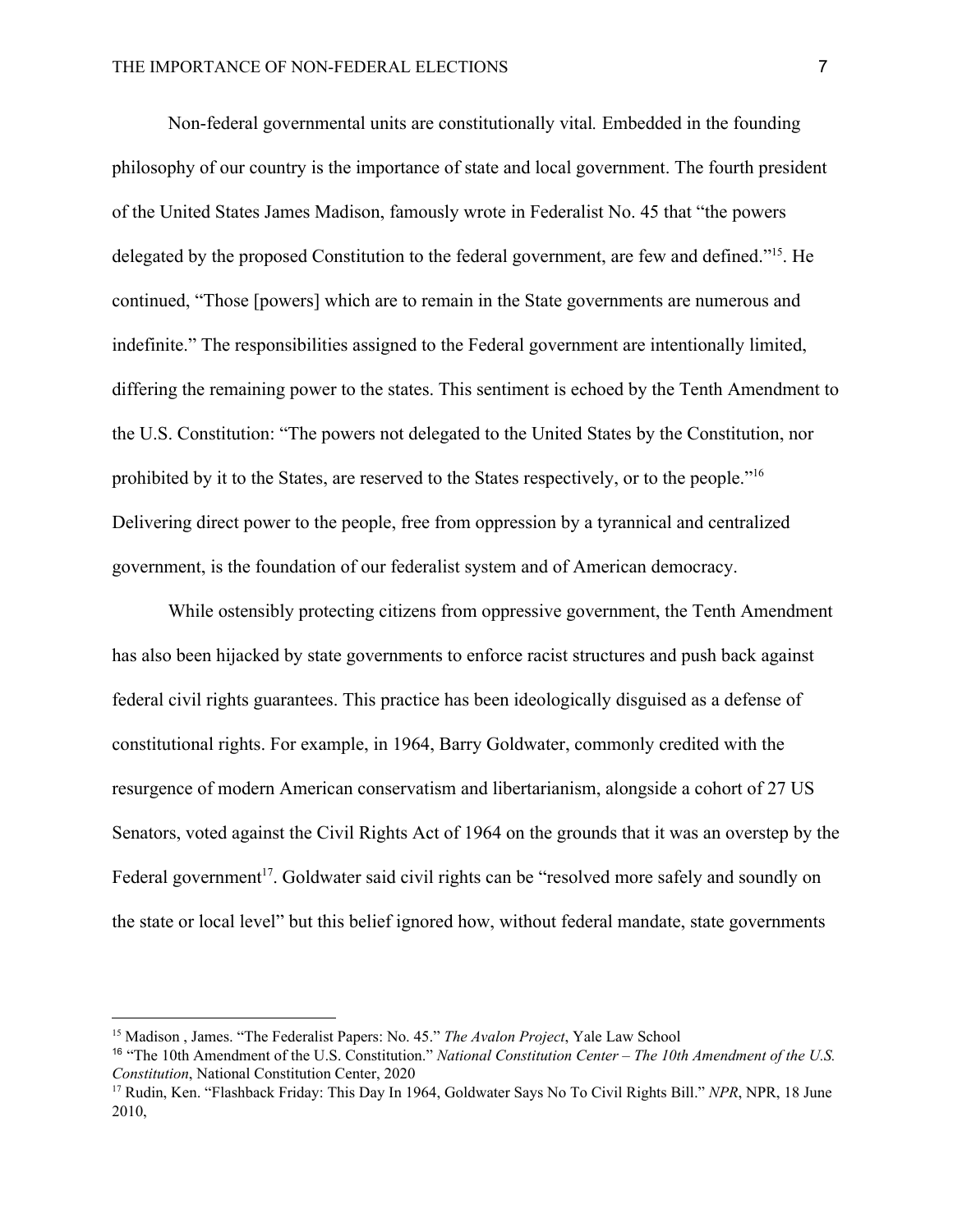Non-federal governmental units are constitutionally vital*.* Embedded in the founding philosophy of our country is the importance of state and local government. The fourth president of the United States James Madison, famously wrote in Federalist No. 45 that "the powers delegated by the proposed Constitution to the federal government, are few and defined."<sup>15</sup>. He continued, "Those [powers] which are to remain in the State governments are numerous and indefinite." The responsibilities assigned to the Federal government are intentionally limited, differing the remaining power to the states. This sentiment is echoed by the Tenth Amendment to the U.S. Constitution: "The powers not delegated to the United States by the Constitution, nor prohibited by it to the States, are reserved to the States respectively, or to the people."<sup>16</sup> Delivering direct power to the people, free from oppression by a tyrannical and centralized government, is the foundation of our federalist system and of American democracy.

While ostensibly protecting citizens from oppressive government, the Tenth Amendment has also been hijacked by state governments to enforce racist structures and push back against federal civil rights guarantees. This practice has been ideologically disguised as a defense of constitutional rights. For example, in 1964, Barry Goldwater, commonly credited with the resurgence of modern American conservatism and libertarianism, alongside a cohort of 27 US Senators, voted against the Civil Rights Act of 1964 on the grounds that it was an overstep by the Federal government<sup>17</sup>. Goldwater said civil rights can be "resolved more safely and soundly on the state or local level" but this belief ignored how, without federal mandate, state governments

<sup>15</sup> Madison , James. "The Federalist Papers: No. 45." *The Avalon Project*, Yale Law School

<sup>16</sup> "The 10th Amendment of the U.S. Constitution." *National Constitution Center – The 10th Amendment of the U.S. Constitution*, National Constitution Center, 2020

<sup>17</sup> Rudin, Ken. "Flashback Friday: This Day In 1964, Goldwater Says No To Civil Rights Bill." *NPR*, NPR, 18 June 2010,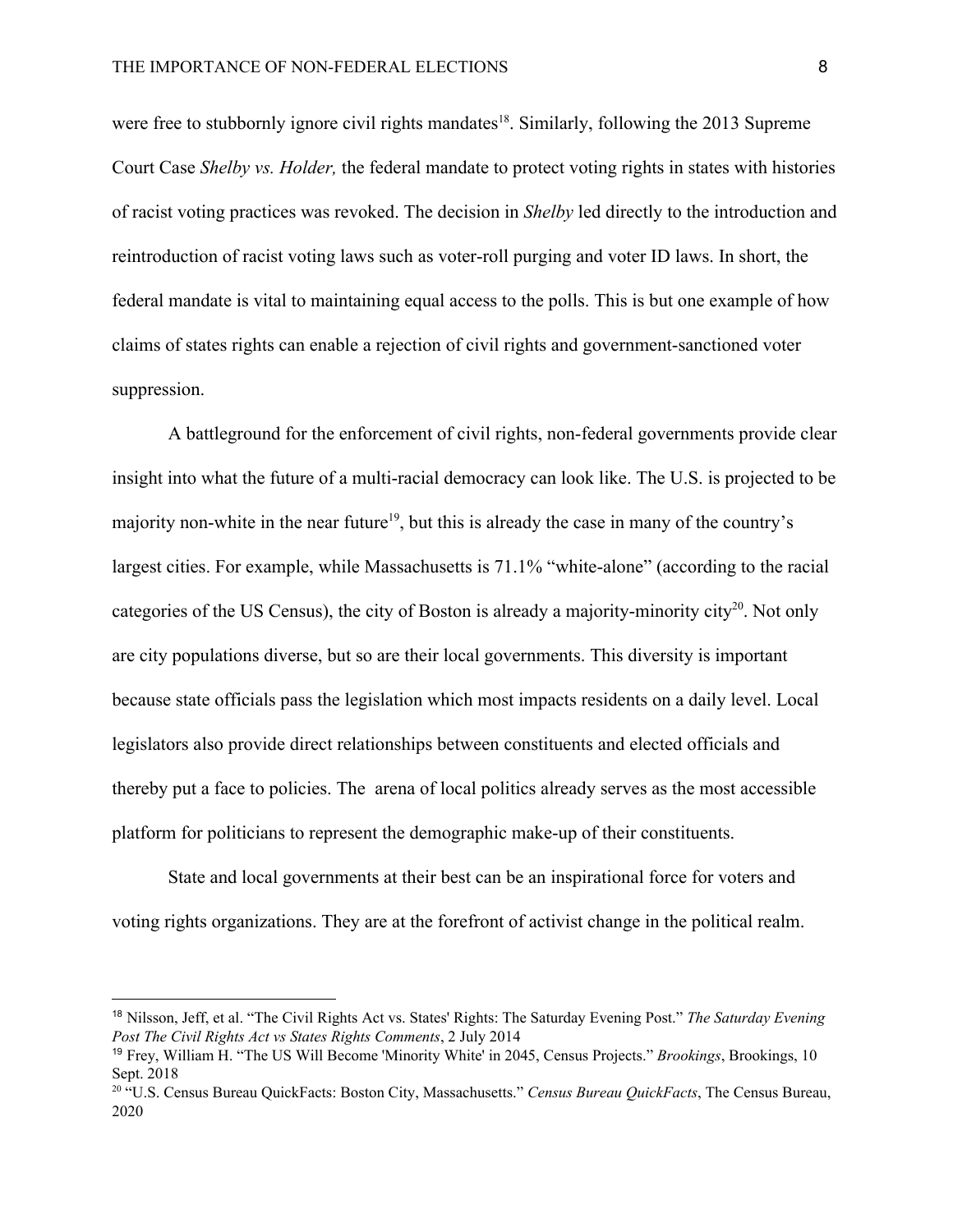were free to stubbornly ignore civil rights mandates<sup>18</sup>. Similarly, following the 2013 Supreme Court Case *Shelby vs. Holder,* the federal mandate to protect voting rights in states with histories of racist voting practices was revoked. The decision in *Shelby* led directly to the introduction and reintroduction of racist voting laws such as voter-roll purging and voter ID laws. In short, the federal mandate is vital to maintaining equal access to the polls. This is but one example of how claims of states rights can enable a rejection of civil rights and government-sanctioned voter suppression.

A battleground for the enforcement of civil rights, non-federal governments provide clear insight into what the future of a multi-racial democracy can look like. The U.S. is projected to be majority non-white in the near future<sup>19</sup>, but this is already the case in many of the country's largest cities. For example, while Massachusetts is 71.1% "white-alone" (according to the racial categories of the US Census), the city of Boston is already a majority-minority city<sup>20</sup>. Not only are city populations diverse, but so are their local governments. This diversity is important because state officials pass the legislation which most impacts residents on a daily level. Local legislators also provide direct relationships between constituents and elected officials and thereby put a face to policies. The arena of local politics already serves as the most accessible platform for politicians to represent the demographic make-up of their constituents.

State and local governments at their best can be an inspirational force for voters and voting rights organizations. They are at the forefront of activist change in the political realm.

<sup>18</sup> Nilsson, Jeff, et al. "The Civil Rights Act vs. States' Rights: The Saturday Evening Post." *The Saturday Evening Post The Civil Rights Act vs States Rights Comments*, 2 July 2014

<sup>19</sup> Frey, William H. "The US Will Become 'Minority White' in 2045, Census Projects." *Brookings*, Brookings, 10 Sept. 2018

<sup>20</sup> "U.S. Census Bureau QuickFacts: Boston City, Massachusetts." *Census Bureau QuickFacts*, The Census Bureau, 2020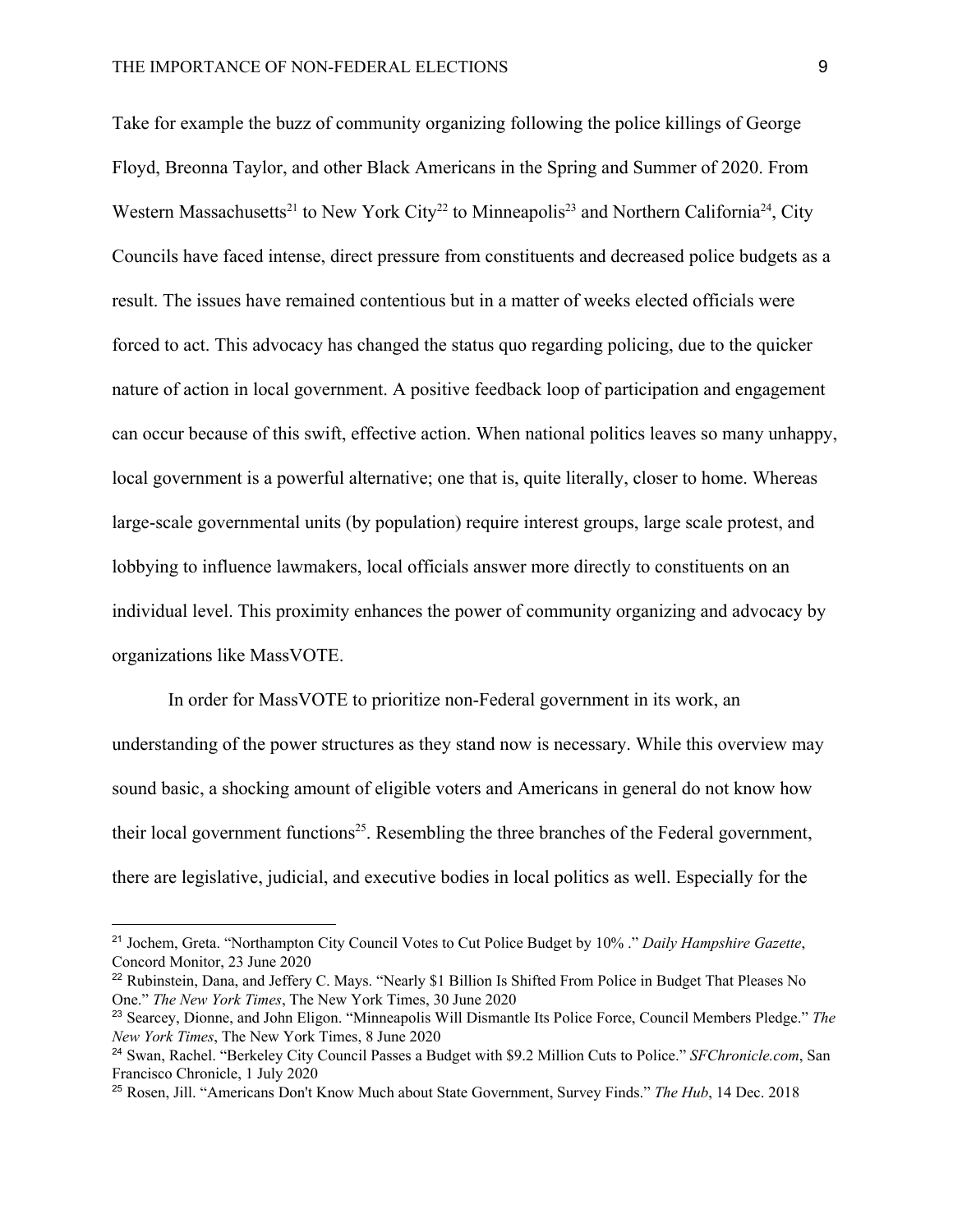Take for example the buzz of community organizing following the police killings of George Floyd, Breonna Taylor, and other Black Americans in the Spring and Summer of 2020. From Western Massachusetts<sup>21</sup> to New York City<sup>22</sup> to Minneapolis<sup>23</sup> and Northern California<sup>24</sup>, City Councils have faced intense, direct pressure from constituents and decreased police budgets as a result. The issues have remained contentious but in a matter of weeks elected officials were forced to act. This advocacy has changed the status quo regarding policing, due to the quicker nature of action in local government. A positive feedback loop of participation and engagement can occur because of this swift, effective action. When national politics leaves so many unhappy, local government is a powerful alternative; one that is, quite literally, closer to home. Whereas large-scale governmental units (by population) require interest groups, large scale protest, and lobbying to influence lawmakers, local officials answer more directly to constituents on an individual level. This proximity enhances the power of community organizing and advocacy by organizations like MassVOTE.

In order for MassVOTE to prioritize non-Federal government in its work, an

understanding of the power structures as they stand now is necessary. While this overview may sound basic, a shocking amount of eligible voters and Americans in general do not know how their local government functions<sup>25</sup>. Resembling the three branches of the Federal government, there are legislative, judicial, and executive bodies in local politics as well. Especially for the

<sup>21</sup> Jochem, Greta. "Northampton City Council Votes to Cut Police Budget by 10% ." *Daily Hampshire Gazette*, Concord Monitor, 23 June 2020

<sup>22</sup> Rubinstein, Dana, and Jeffery C. Mays. "Nearly \$1 Billion Is Shifted From Police in Budget That Pleases No One." *The New York Times*, The New York Times, 30 June 2020

<sup>23</sup> Searcey, Dionne, and John Eligon. "Minneapolis Will Dismantle Its Police Force, Council Members Pledge." *The New York Times*, The New York Times, 8 June 2020

<sup>24</sup> Swan, Rachel. "Berkeley City Council Passes a Budget with \$9.2 Million Cuts to Police." *SFChronicle.com*, San Francisco Chronicle, 1 July 2020

<sup>25</sup> Rosen, Jill. "Americans Don't Know Much about State Government, Survey Finds." *The Hub*, 14 Dec. 2018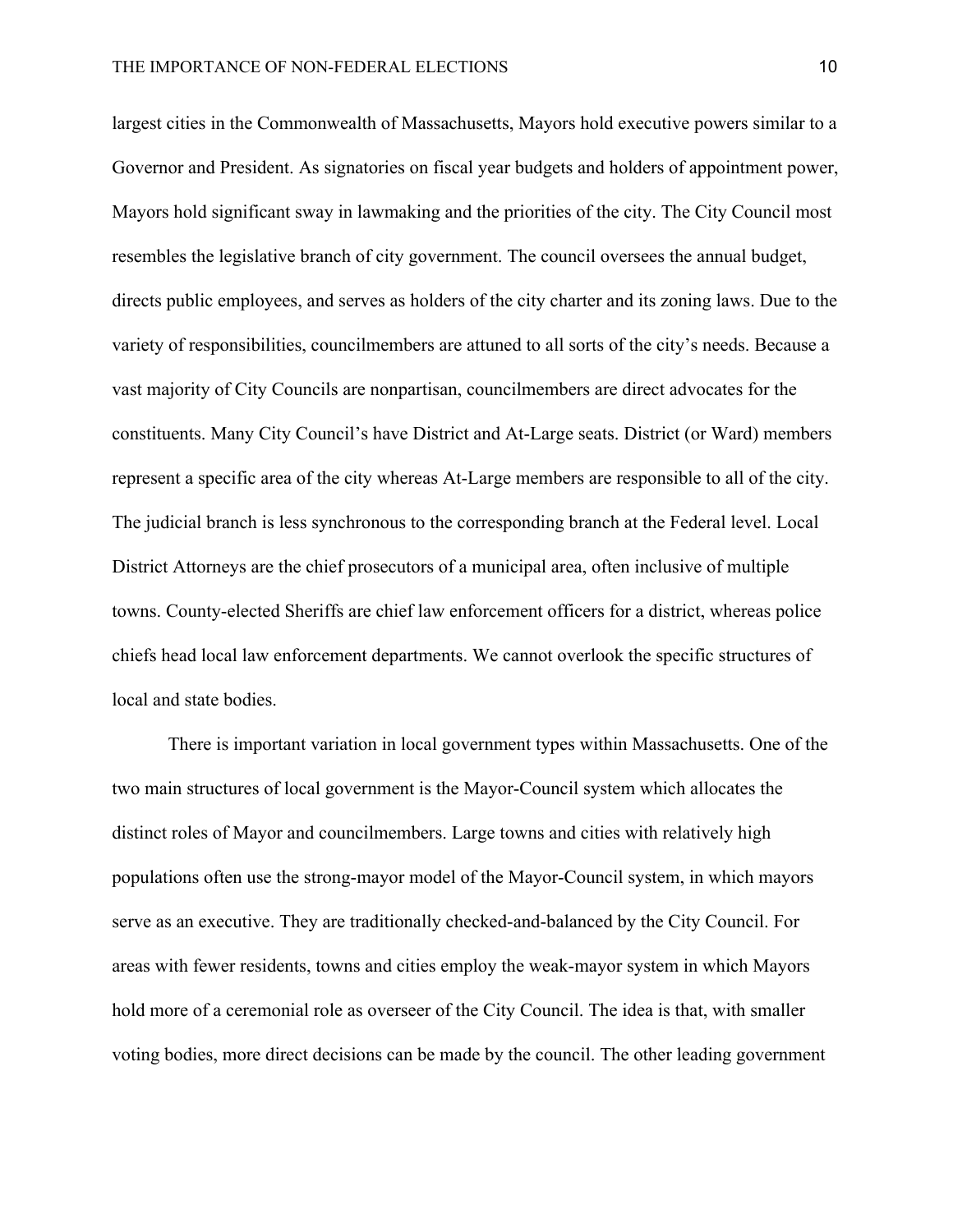largest cities in the Commonwealth of Massachusetts, Mayors hold executive powers similar to a Governor and President. As signatories on fiscal year budgets and holders of appointment power, Mayors hold significant sway in lawmaking and the priorities of the city. The City Council most resembles the legislative branch of city government. The council oversees the annual budget, directs public employees, and serves as holders of the city charter and its zoning laws. Due to the variety of responsibilities, councilmembers are attuned to all sorts of the city's needs. Because a vast majority of City Councils are nonpartisan, councilmembers are direct advocates for the constituents. Many City Council's have District and At-Large seats. District (or Ward) members represent a specific area of the city whereas At-Large members are responsible to all of the city. The judicial branch is less synchronous to the corresponding branch at the Federal level. Local District Attorneys are the chief prosecutors of a municipal area, often inclusive of multiple towns. County-elected Sheriffs are chief law enforcement officers for a district, whereas police chiefs head local law enforcement departments. We cannot overlook the specific structures of local and state bodies.

There is important variation in local government types within Massachusetts. One of the two main structures of local government is the Mayor-Council system which allocates the distinct roles of Mayor and councilmembers. Large towns and cities with relatively high populations often use the strong-mayor model of the Mayor-Council system, in which mayors serve as an executive. They are traditionally checked-and-balanced by the City Council. For areas with fewer residents, towns and cities employ the weak-mayor system in which Mayors hold more of a ceremonial role as overseer of the City Council. The idea is that, with smaller voting bodies, more direct decisions can be made by the council. The other leading government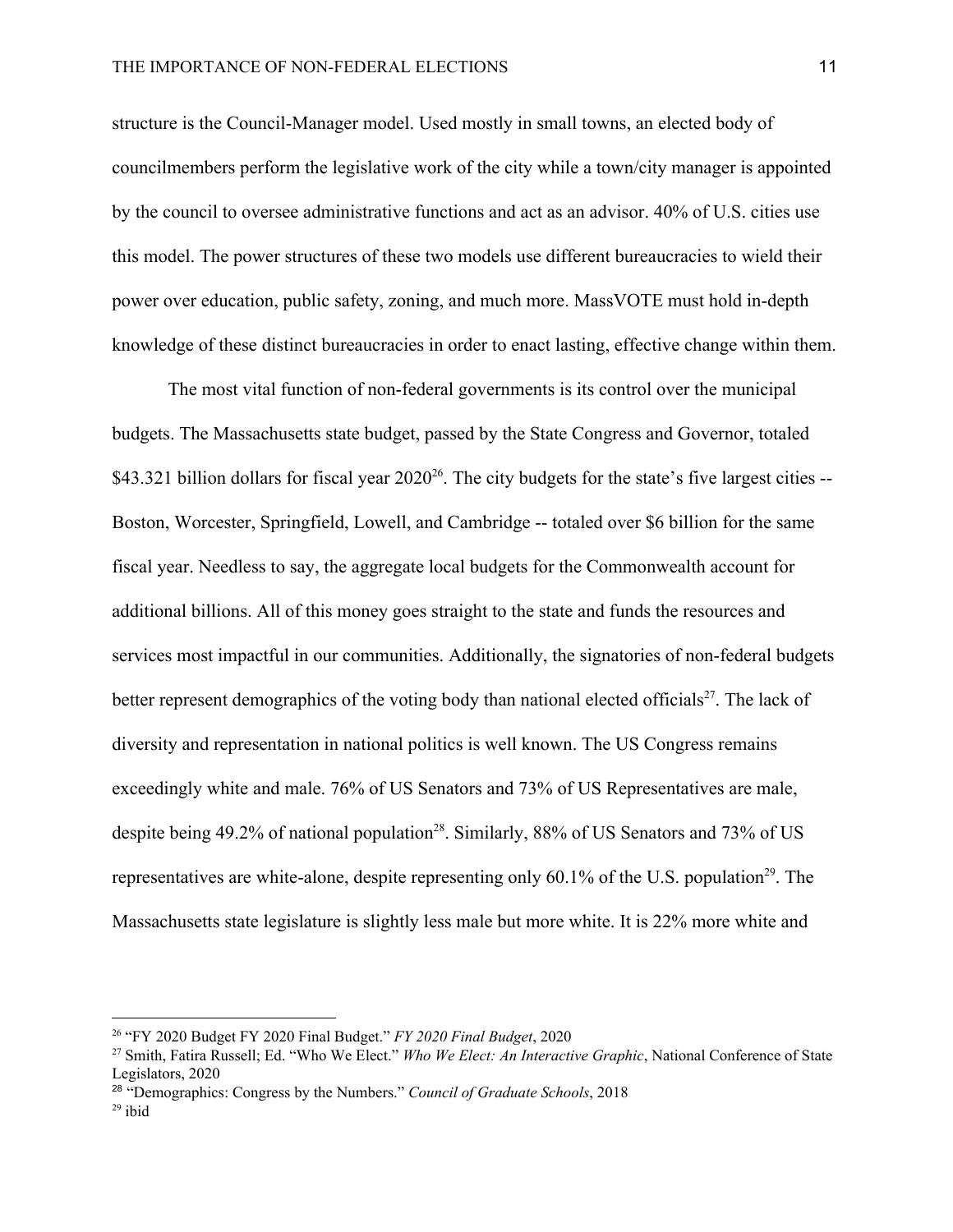structure is the Council-Manager model. Used mostly in small towns, an elected body of councilmembers perform the legislative work of the city while a town/city manager is appointed by the council to oversee administrative functions and act as an advisor. 40% of U.S. cities use this model. The power structures of these two models use different bureaucracies to wield their power over education, public safety, zoning, and much more. MassVOTE must hold in-depth knowledge of these distinct bureaucracies in order to enact lasting, effective change within them.

The most vital function of non-federal governments is its control over the municipal budgets. The Massachusetts state budget, passed by the State Congress and Governor, totaled \$43.321 billion dollars for fiscal year  $2020^{26}$ . The city budgets for the state's five largest cities --Boston, Worcester, Springfield, Lowell, and Cambridge -- totaled over \$6 billion for the same fiscal year. Needless to say, the aggregate local budgets for the Commonwealth account for additional billions. All of this money goes straight to the state and funds the resources and services most impactful in our communities. Additionally, the signatories of non-federal budgets better represent demographics of the voting body than national elected officials $^{27}$ . The lack of diversity and representation in national politics is well known. The US Congress remains exceedingly white and male. 76% of US Senators and 73% of US Representatives are male, despite being 49.2% of national population<sup>28</sup>. Similarly, 88% of US Senators and 73% of US representatives are white-alone, despite representing only  $60.1\%$  of the U.S. population<sup>29</sup>. The Massachusetts state legislature is slightly less male but more white. It is 22% more white and

<sup>26</sup> "FY 2020 Budget FY 2020 Final Budget." *FY 2020 Final Budget*, 2020

<sup>27</sup> Smith, Fatira Russell; Ed. "Who We Elect." *Who We Elect: An Interactive Graphic*, National Conference of State Legislators, 2020

<sup>28</sup> "Demographics: Congress by the Numbers." *Council of Graduate Schools*, 2018  $29$  ibid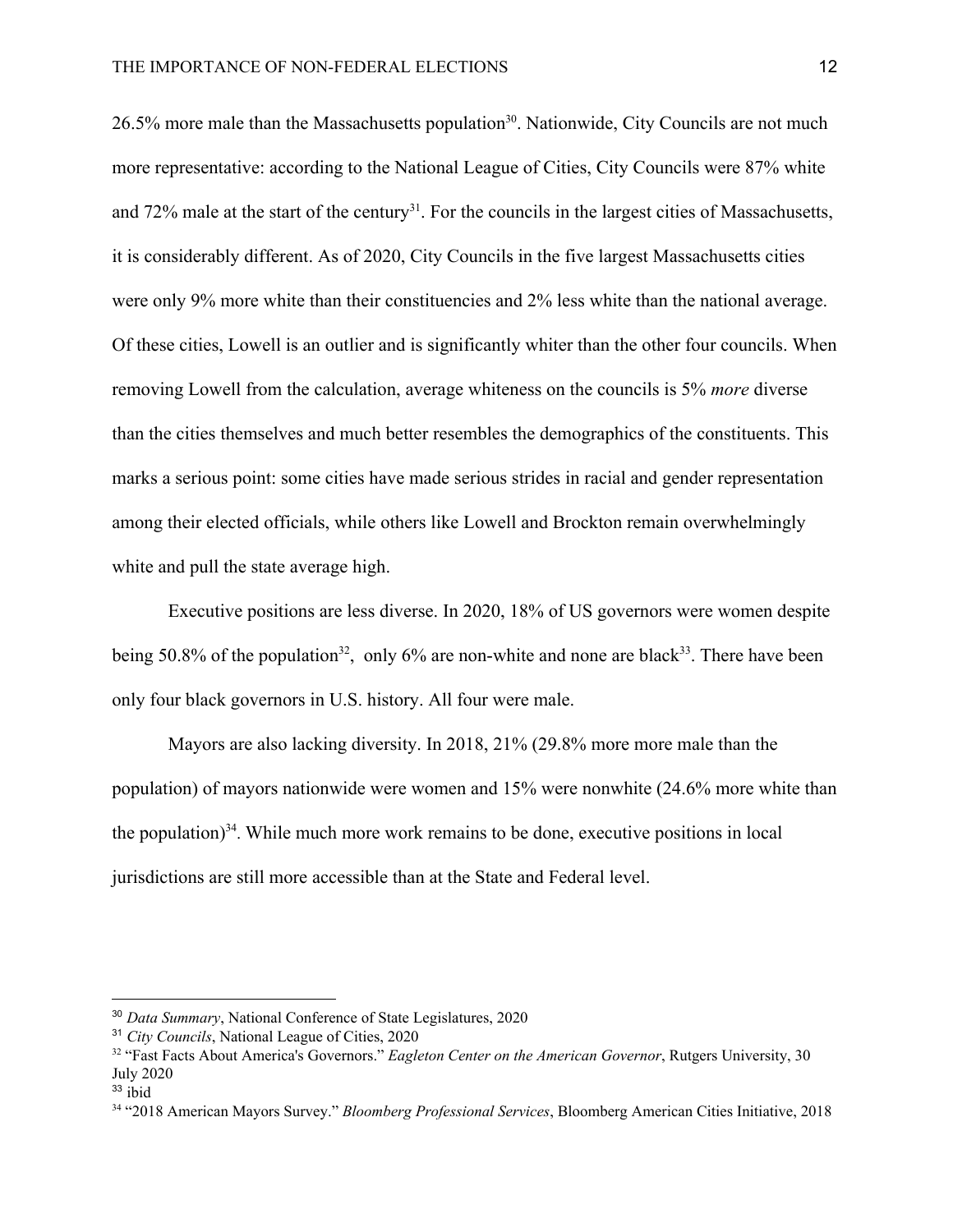$26.5\%$  more male than the Massachusetts population<sup>30</sup>. Nationwide, City Councils are not much more representative: according to the National League of Cities, City Councils were 87% white and 72% male at the start of the century<sup>31</sup>. For the councils in the largest cities of Massachusetts, it is considerably different. As of 2020, City Councils in the five largest Massachusetts cities were only 9% more white than their constituencies and 2% less white than the national average. Of these cities, Lowell is an outlier and is significantly whiter than the other four councils. When removing Lowell from the calculation, average whiteness on the councils is 5% *more* diverse than the cities themselves and much better resembles the demographics of the constituents. This marks a serious point: some cities have made serious strides in racial and gender representation among their elected officials, while others like Lowell and Brockton remain overwhelmingly white and pull the state average high.

Executive positions are less diverse. In 2020, 18% of US governors were women despite being 50.8% of the population<sup>32</sup>, only 6% are non-white and none are black<sup>33</sup>. There have been only four black governors in U.S. history. All four were male.

Mayors are also lacking diversity. In 2018, 21% (29.8% more more male than the population) of mayors nationwide were women and 15% were nonwhite (24.6% more white than the population)<sup>34</sup>. While much more work remains to be done, executive positions in local jurisdictions are still more accessible than at the State and Federal level.

<sup>30</sup> *Data Summary*, National Conference of State Legislatures, 2020

<sup>31</sup> *City Councils*, National League of Cities, 2020

<sup>32</sup> "Fast Facts About America's Governors." *Eagleton Center on the American Governor*, Rutgers University, 30 July 2020

 $33$  ibid

<sup>34</sup> "2018 American Mayors Survey." *Bloomberg Professional Services*, Bloomberg American Cities Initiative, 2018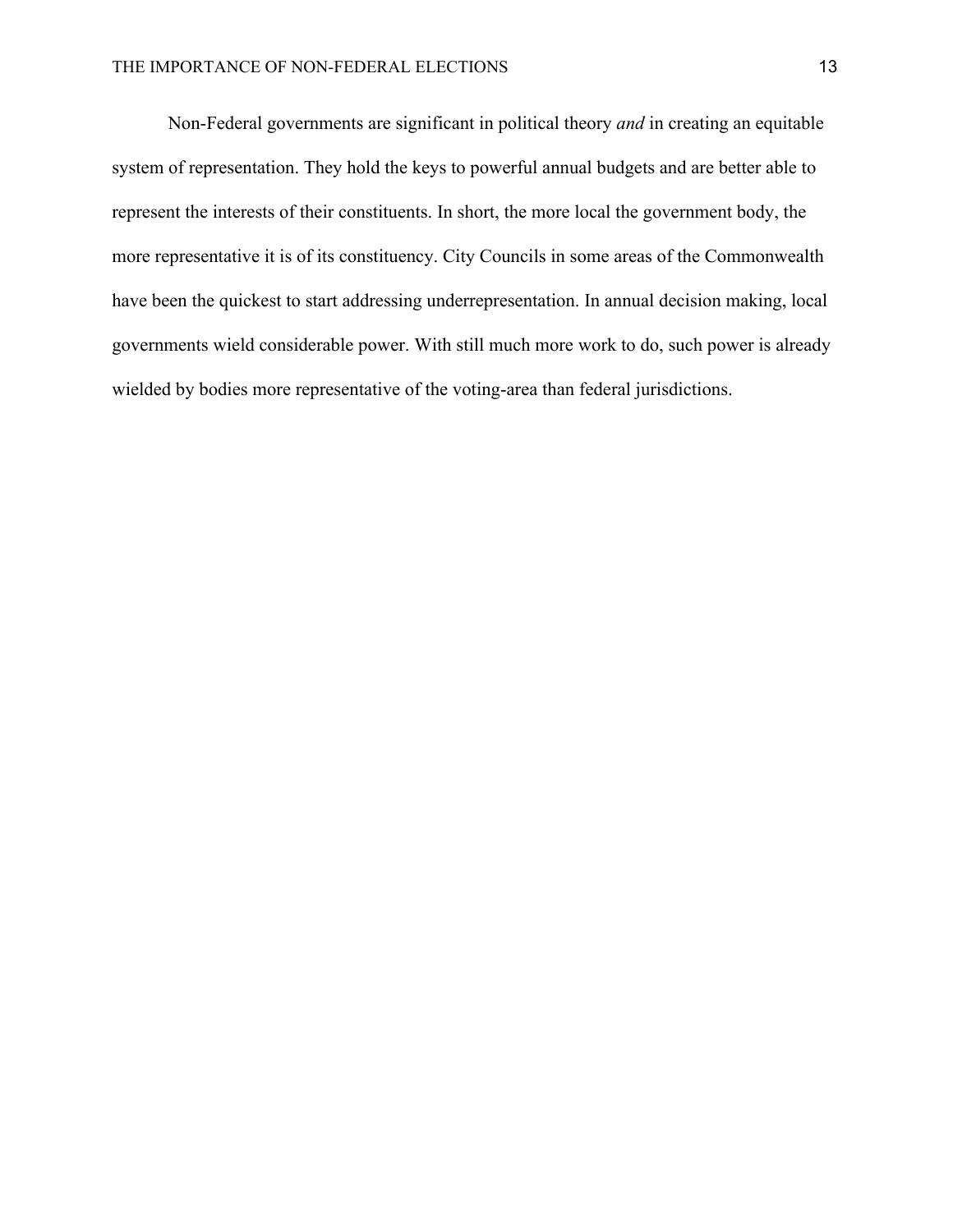Non-Federal governments are significant in political theory *and* in creating an equitable system of representation. They hold the keys to powerful annual budgets and are better able to represent the interests of their constituents. In short, the more local the government body, the more representative it is of its constituency. City Councils in some areas of the Commonwealth have been the quickest to start addressing underrepresentation. In annual decision making, local governments wield considerable power. With still much more work to do, such power is already wielded by bodies more representative of the voting-area than federal jurisdictions.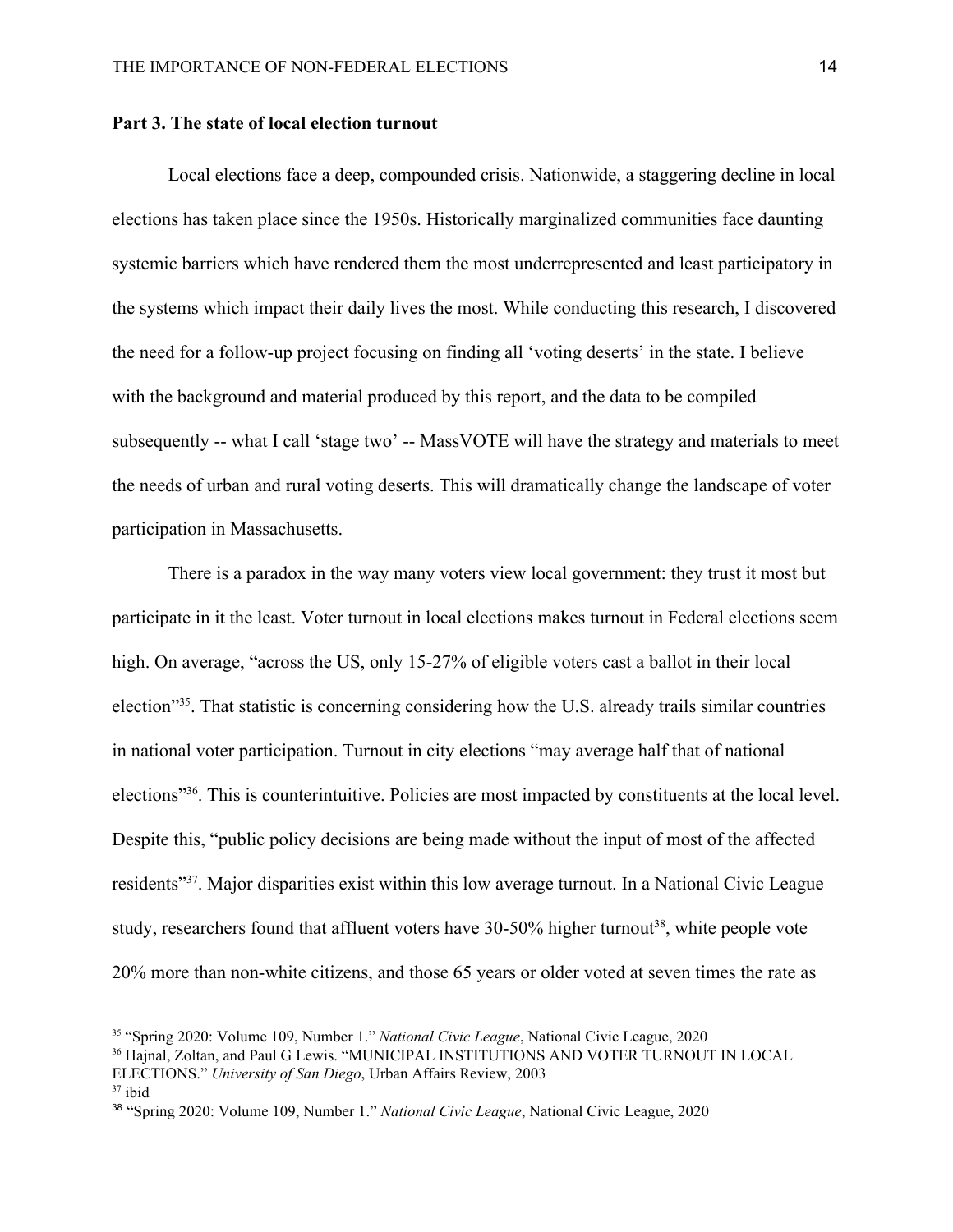#### **Part 3. The state of local election turnout**

Local elections face a deep, compounded crisis. Nationwide, a staggering decline in local elections has taken place since the 1950s. Historically marginalized communities face daunting systemic barriers which have rendered them the most underrepresented and least participatory in the systems which impact their daily lives the most. While conducting this research, I discovered the need for a follow-up project focusing on finding all 'voting deserts' in the state. I believe with the background and material produced by this report, and the data to be compiled subsequently -- what I call 'stage two' -- MassVOTE will have the strategy and materials to meet the needs of urban and rural voting deserts. This will dramatically change the landscape of voter participation in Massachusetts.

There is a paradox in the way many voters view local government: they trust it most but participate in it the least. Voter turnout in local elections makes turnout in Federal elections seem high. On average, "across the US, only 15-27% of eligible voters cast a ballot in their local election<sup>"35</sup>. That statistic is concerning considering how the U.S. already trails similar countries in national voter participation. Turnout in city elections "may average half that of national elections<sup>"36</sup>. This is counterintuitive. Policies are most impacted by constituents at the local level. Despite this, "public policy decisions are being made without the input of most of the affected residents<sup>"37</sup>. Major disparities exist within this low average turnout. In a National Civic League study, researchers found that affluent voters have  $30-50\%$  higher turnout<sup>38</sup>, white people vote 20% more than non-white citizens, and those 65 years or older voted at seven times the rate as

<sup>35</sup> "Spring 2020: Volume 109, Number 1." *National Civic League*, National Civic League, 2020

<sup>36</sup> Hajnal, Zoltan, and Paul G Lewis. "MUNICIPAL INSTITUTIONS AND VOTER TURNOUT IN LOCAL ELECTIONS." *University of San Diego*, Urban Affairs Review, 2003

 $37$  ibid

<sup>38</sup> "Spring 2020: Volume 109, Number 1." *National Civic League*, National Civic League, 2020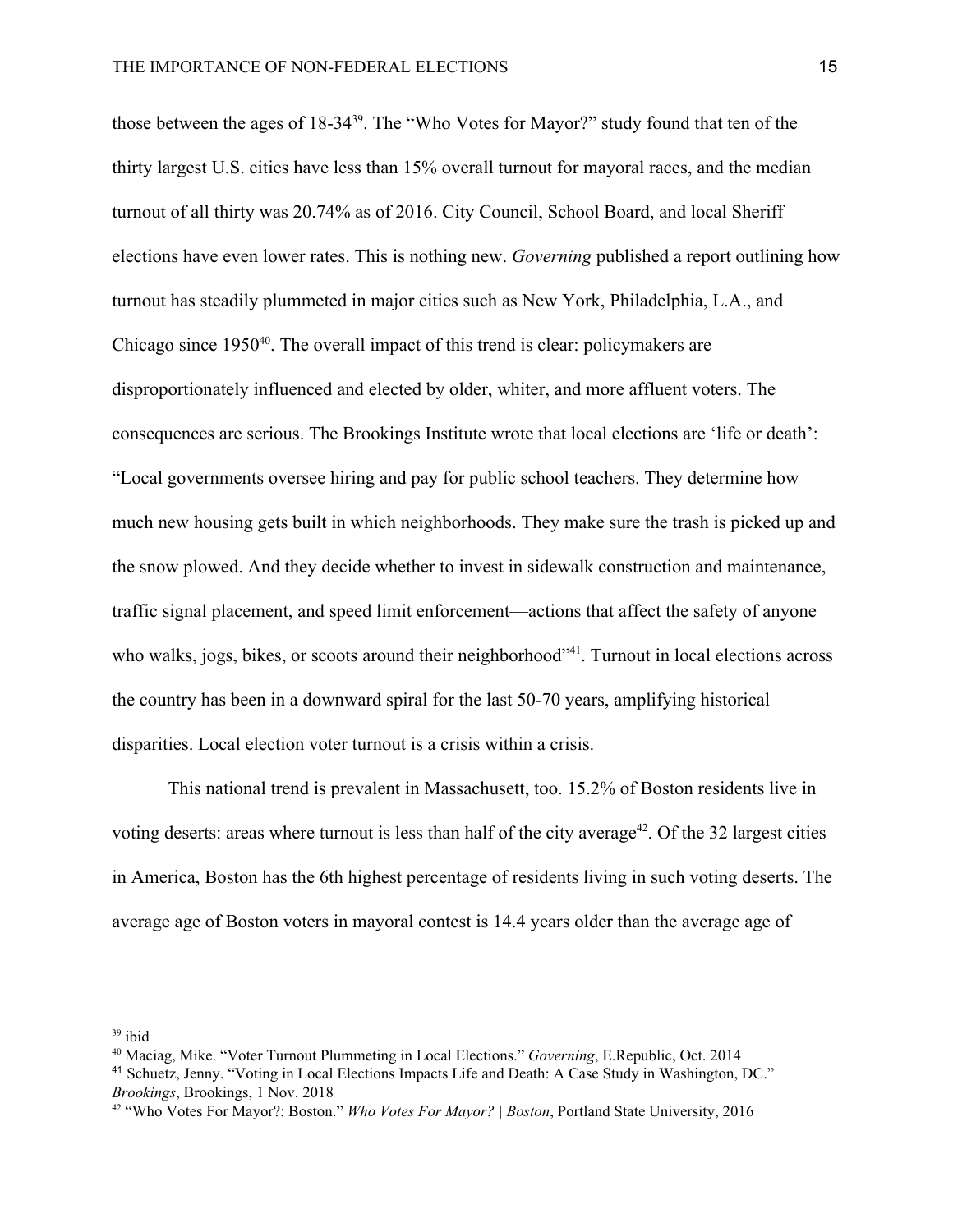those between the ages of  $18-34^{39}$ . The "Who Votes for Mayor?" study found that ten of the thirty largest U.S. cities have less than 15% overall turnout for mayoral races, and the median turnout of all thirty was 20.74% as of 2016. City Council, School Board, and local Sheriff elections have even lower rates. This is nothing new. *Governing* published a report outlining how turnout has steadily plummeted in major cities such as New York, Philadelphia, L.A., and Chicago since  $1950^{40}$ . The overall impact of this trend is clear: policymakers are disproportionately influenced and elected by older, whiter, and more affluent voters. The consequences are serious. The Brookings Institute wrote that local elections are 'life or death': "Local governments oversee hiring and pay for public school teachers. They determine how much new housing gets built in which neighborhoods. They make sure the trash is picked up and the snow plowed. And they decide whether to invest in sidewalk construction and maintenance, traffic signal placement, and speed limit enforcement—actions that affect the safety of anyone who walks, jogs, bikes, or scoots around their neighborhood<sup>341</sup>. Turnout in local elections across the country has been in a downward spiral for the last 50-70 years, amplifying historical disparities. Local election voter turnout is a crisis within a crisis.

This national trend is prevalent in Massachusett, too. 15.2% of Boston residents live in voting deserts: areas where turnout is less than half of the city average<sup>42</sup>. Of the 32 largest cities in America, Boston has the 6th highest percentage of residents living in such voting deserts. The average age of Boston voters in mayoral contest is 14.4 years older than the average age of

 $39$  ibid

<sup>40</sup> Maciag, Mike. "Voter Turnout Plummeting in Local Elections." *Governing*, E.Republic, Oct. 2014

<sup>41</sup> Schuetz, Jenny. "Voting in Local Elections Impacts Life and Death: A Case Study in Washington, DC." *Brookings*, Brookings, 1 Nov. 2018

<sup>42</sup> "Who Votes For Mayor?: Boston." *Who Votes For Mayor? | Boston*, Portland State University, 2016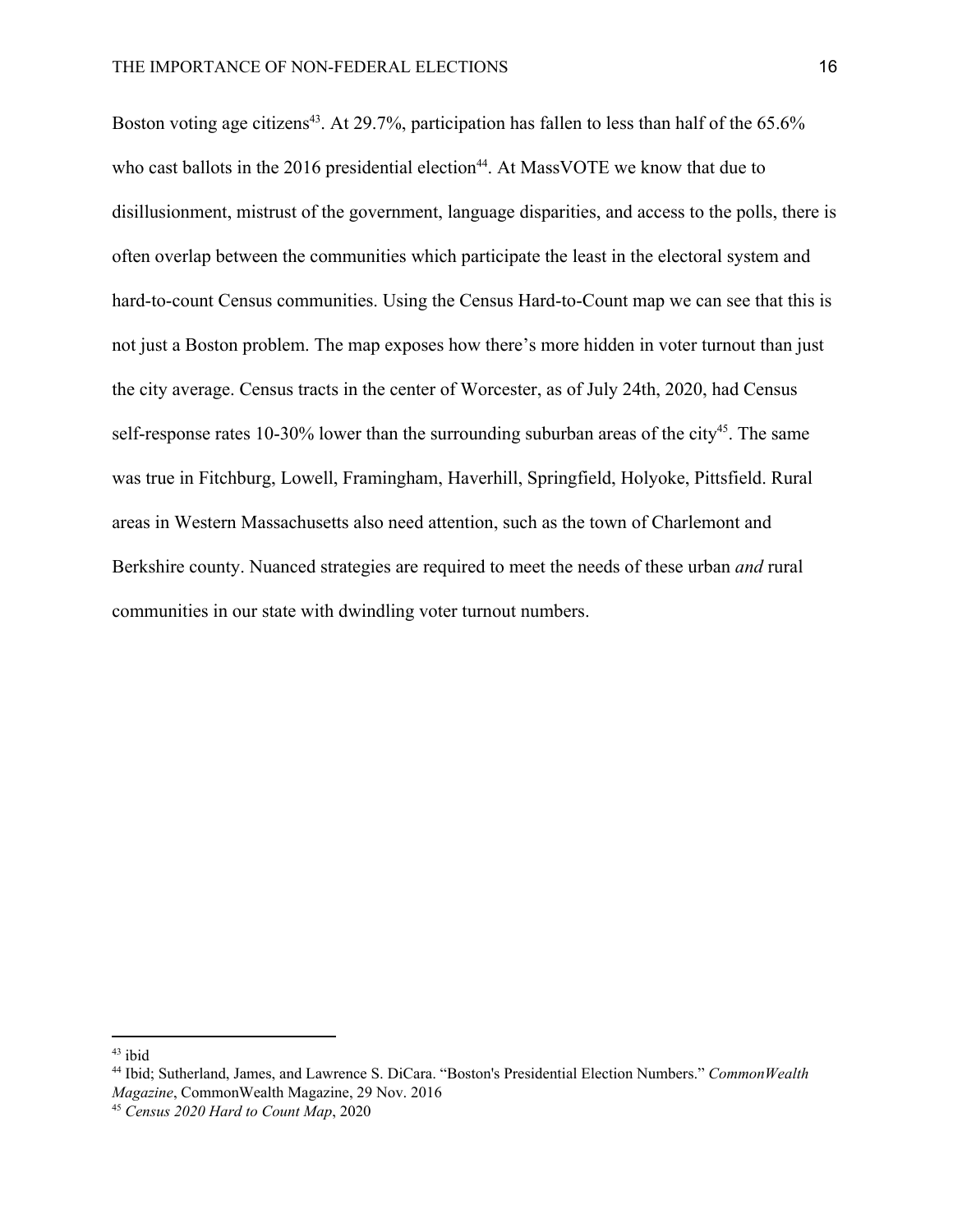Boston voting age citizens<sup>43</sup>. At 29.7%, participation has fallen to less than half of the 65.6% who cast ballots in the  $2016$  presidential election<sup>44</sup>. At Mass VOTE we know that due to disillusionment, mistrust of the government, language disparities, and access to the polls, there is often overlap between the communities which participate the least in the electoral system and hard-to-count Census communities. Using the Census Hard-to-Count map we can see that this is not just a Boston problem. The map exposes how there's more hidden in voter turnout than just the city average. Census tracts in the center of Worcester, as of July 24th, 2020, had Census self-response rates 10-30% lower than the surrounding suburban areas of the city<sup>45</sup>. The same was true in Fitchburg, Lowell, Framingham, Haverhill, Springfield, Holyoke, Pittsfield. Rural areas in Western Massachusetts also need attention, such as the town of Charlemont and Berkshire county. Nuanced strategies are required to meet the needs of these urban *and* rural communities in our state with dwindling voter turnout numbers.

<sup>43</sup> ibid

<sup>44</sup> Ibid; Sutherland, James, and Lawrence S. DiCara. "Boston's Presidential Election Numbers." *CommonWealth Magazine*, CommonWealth Magazine, 29 Nov. 2016

<sup>45</sup> *Census 2020 Hard to Count Map*, 2020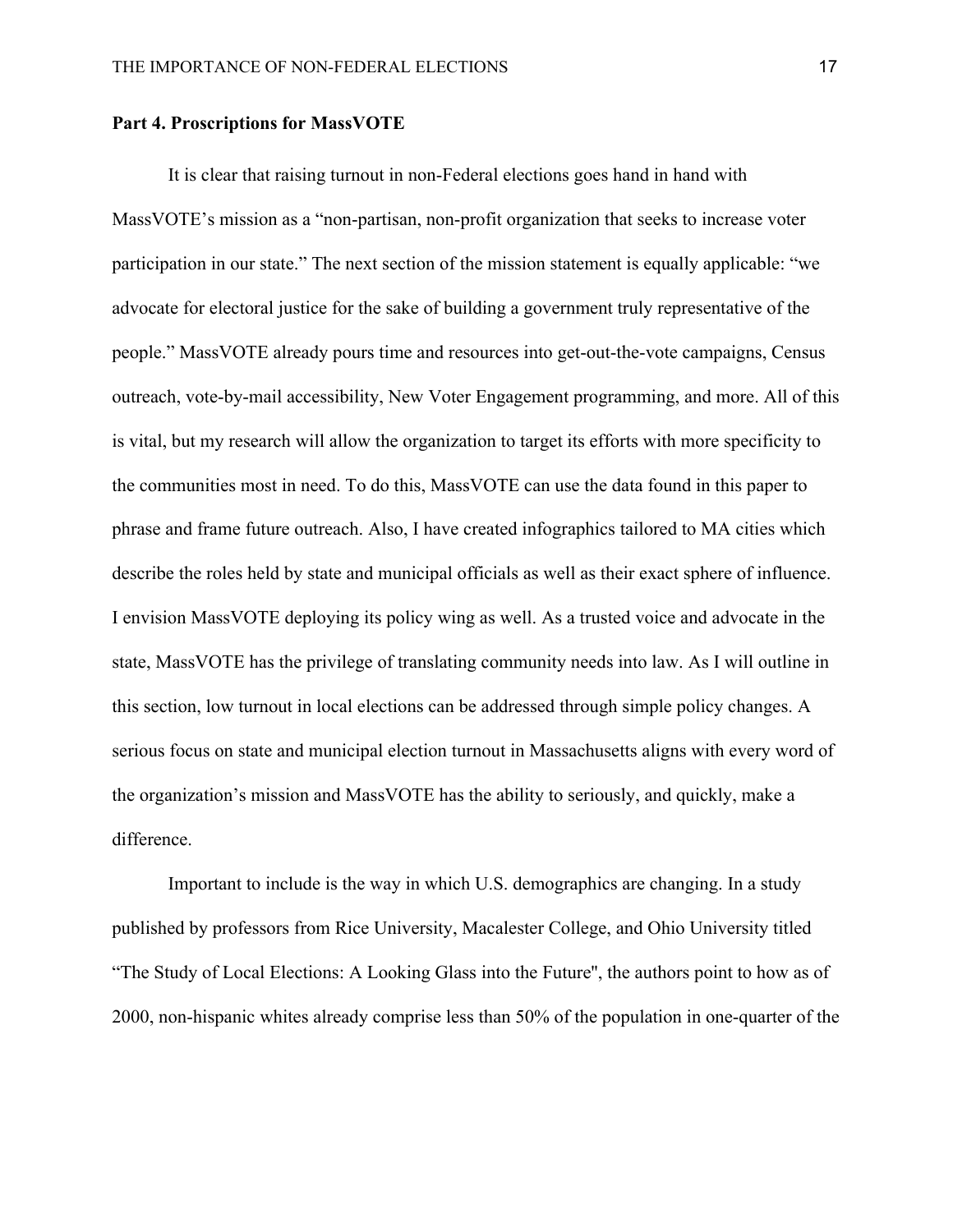#### **Part 4. Proscriptions for MassVOTE**

It is clear that raising turnout in non-Federal elections goes hand in hand with MassVOTE's mission as a "non-partisan, non-profit organization that seeks to increase voter participation in our state." The next section of the mission statement is equally applicable: "we advocate for electoral justice for the sake of building a government truly representative of the people." MassVOTE already pours time and resources into get-out-the-vote campaigns, Census outreach, vote-by-mail accessibility, New Voter Engagement programming, and more. All of this is vital, but my research will allow the organization to target its efforts with more specificity to the communities most in need. To do this, MassVOTE can use the data found in this paper to phrase and frame future outreach. Also, I have created infographics tailored to MA cities which describe the roles held by state and municipal officials as well as their exact sphere of influence. I envision MassVOTE deploying its policy wing as well. As a trusted voice and advocate in the state, MassVOTE has the privilege of translating community needs into law. As I will outline in this section, low turnout in local elections can be addressed through simple policy changes. A serious focus on state and municipal election turnout in Massachusetts aligns with every word of the organization's mission and MassVOTE has the ability to seriously, and quickly, make a difference.

Important to include is the way in which U.S. demographics are changing. In a study published by professors from Rice University, Macalester College, and Ohio University titled "The Study of Local Elections: A Looking Glass into the Future'', the authors point to how as of 2000, non-hispanic whites already comprise less than 50% of the population in one-quarter of the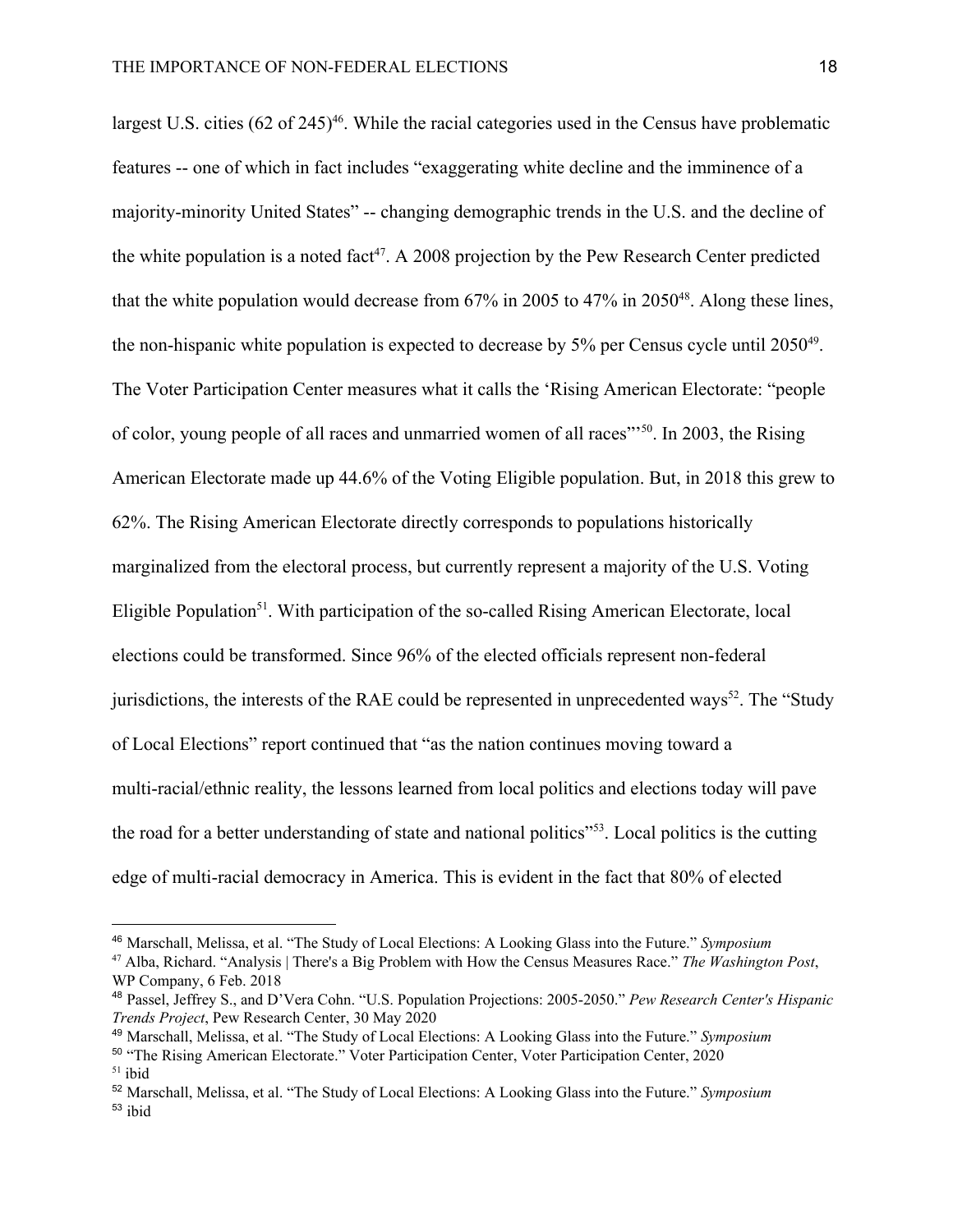largest U.S. cities  $(62 \text{ of } 245)^{46}$ . While the racial categories used in the Census have problematic features -- one of which in fact includes "exaggerating white decline and the imminence of a majority-minority United States" -- changing demographic trends in the U.S. and the decline of the white population is a noted fact<sup>47</sup>. A 2008 projection by the Pew Research Center predicted that the white population would decrease from  $67\%$  in 2005 to  $47\%$  in 2050<sup>48</sup>. Along these lines, the non-hispanic white population is expected to decrease by  $5\%$  per Census cycle until  $2050^{49}$ . The Voter Participation Center measures what it calls the 'Rising American Electorate: "people of color, young people of all races and unmarried women of all races"<sup>50</sup>. In 2003, the Rising American Electorate made up 44.6% of the Voting Eligible population. But, in 2018 this grew to 62%. The Rising American Electorate directly corresponds to populations historically marginalized from the electoral process, but currently represent a majority of the U.S. Voting Eligible Population<sup>51</sup>. With participation of the so-called Rising American Electorate, local elections could be transformed. Since 96% of the elected officials represent non-federal jurisdictions, the interests of the RAE could be represented in unprecedented ways<sup>52</sup>. The "Study of Local Elections" report continued that "as the nation continues moving toward a multi-racial/ethnic reality, the lessons learned from local politics and elections today will pave the road for a better understanding of state and national politics<sup>"53</sup>. Local politics is the cutting edge of multi-racial democracy in America. This is evident in the fact that 80% of elected

<sup>46</sup> Marschall, Melissa, et al. "The Study of Local Elections: A Looking Glass into the Future." *Symposium*

<sup>47</sup> Alba, Richard. "Analysis | There's a Big Problem with How the Census Measures Race." *The Washington Post*, WP Company, 6 Feb. 2018

<sup>48</sup> Passel, Jeffrey S., and D'Vera Cohn. "U.S. Population Projections: 2005-2050." *Pew Research Center's Hispanic Trends Project*, Pew Research Center, 30 May 2020

<sup>49</sup> Marschall, Melissa, et al. "The Study of Local Elections: A Looking Glass into the Future." *Symposium*

<sup>50</sup> "The Rising American Electorate." Voter Participation Center, Voter Participation Center, 2020  $51$  ibid

<sup>52</sup> Marschall, Melissa, et al. "The Study of Local Elections: A Looking Glass into the Future." *Symposium* <sup>53</sup> ibid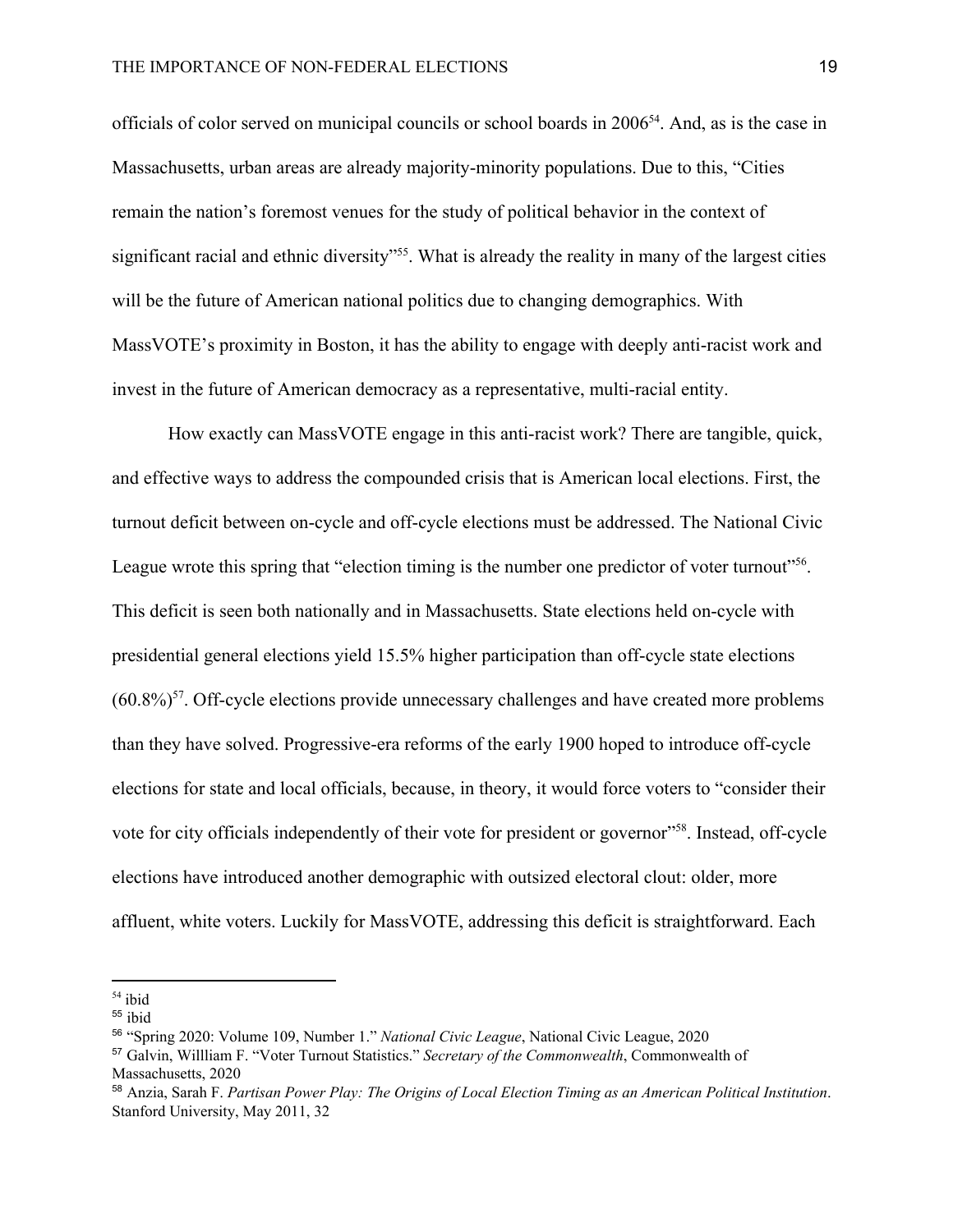officials of color served on municipal councils or school boards in  $2006<sup>54</sup>$ . And, as is the case in Massachusetts, urban areas are already majority-minority populations. Due to this, "Cities remain the nation's foremost venues for the study of political behavior in the context of significant racial and ethnic diversity"<sup>55</sup>. What is already the reality in many of the largest cities will be the future of American national politics due to changing demographics. With MassVOTE's proximity in Boston, it has the ability to engage with deeply anti-racist work and invest in the future of American democracy as a representative, multi-racial entity.

How exactly can MassVOTE engage in this anti-racist work? There are tangible, quick, and effective ways to address the compounded crisis that is American local elections. First, the turnout deficit between on-cycle and off-cycle elections must be addressed. The National Civic League wrote this spring that "election timing is the number one predictor of voter turnout"<sup>56</sup>. This deficit is seen both nationally and in Massachusetts. State elections held on-cycle with presidential general elections yield 15.5% higher participation than off-cycle state elections  $(60.8\%)$ <sup>57</sup>. Off-cycle elections provide unnecessary challenges and have created more problems than they have solved. Progressive-era reforms of the early 1900 hoped to introduce off-cycle elections for state and local officials, because, in theory, it would force voters to "consider their vote for city officials independently of their vote for president or governor"<sup>58</sup>. Instead, off-cycle elections have introduced another demographic with outsized electoral clout: older, more affluent, white voters. Luckily for MassVOTE, addressing this deficit is straightforward. Each

<sup>54</sup> ibid

<sup>55</sup> ibid

<sup>56</sup> "Spring 2020: Volume 109, Number 1." *National Civic League*, National Civic League, 2020

<sup>57</sup> Galvin, Willliam F. "Voter Turnout Statistics." *Secretary of the Commonwealth*, Commonwealth of Massachusetts, 2020

<sup>58</sup> Anzia, Sarah F. *Partisan Power Play: The Origins of Local Election Timing as an American Political Institution*. Stanford University, May 2011, 32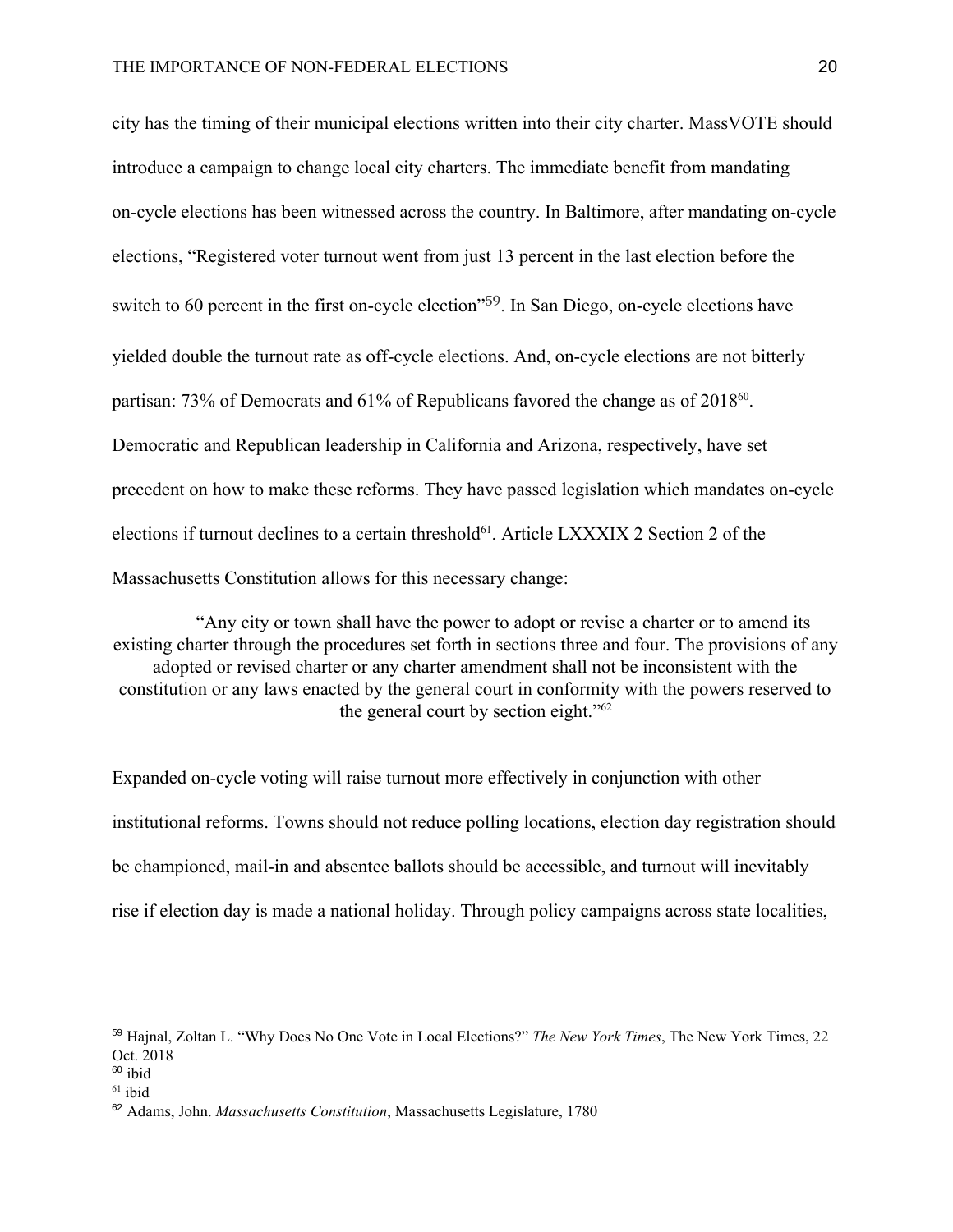city has the timing of their municipal elections written into their city charter. MassVOTE should introduce a campaign to change local city charters. The immediate benefit from mandating on-cycle elections has been witnessed across the country. In Baltimore, after mandating on-cycle elections, "Registered voter turnout went from just 13 percent in the last election before the switch to 60 percent in the first on-cycle election"<sup>59</sup>. In San Diego, on-cycle elections have yielded double the turnout rate as off-cycle elections. And, on-cycle elections are not bitterly partisan: 73% of Democrats and 61% of Republicans favored the change as of 2018<sup>60</sup>. Democratic and Republican leadership in California and Arizona, respectively, have set precedent on how to make these reforms. They have passed legislation which mandates on-cycle elections if turnout declines to a certain threshold $61$ . Article L[X](https://malegislature.gov/Laws/GeneralLaws/PartI/TitleI/Chapter4/Section7)XXIX 2 Section 2 of the Massachusetts Constitution allows for this necessary change:

"Any city or town shall have the power to adopt or revise a charter or to amend its existing charter through the procedures set forth in sections three and four. The provisions of any adopted or revised charter or any charter amendment shall not be inconsistent with the constitution or any laws enacted by the general court in conformity with the powers reserved to the general court by section eight."<sup>62</sup>

Expanded on-cycle voting will raise turnout more effectively in conjunction with other institutional reforms. Towns should not reduce polling locations, election day registration should be championed, mail-in and absentee ballots should be accessible, and turnout will inevitably rise if election day is made a national holiday. Through policy campaigns across state localities,

<sup>59</sup> Hajnal, Zoltan L. "Why Does No One Vote in Local Elections?" *The New York Times*, The New York Times, 22 Oct. 2018

 $60$  ibid

 $61$  ibid

<sup>62</sup> Adams, John. *Massachusetts Constitution*, Massachusetts Legislature, 1780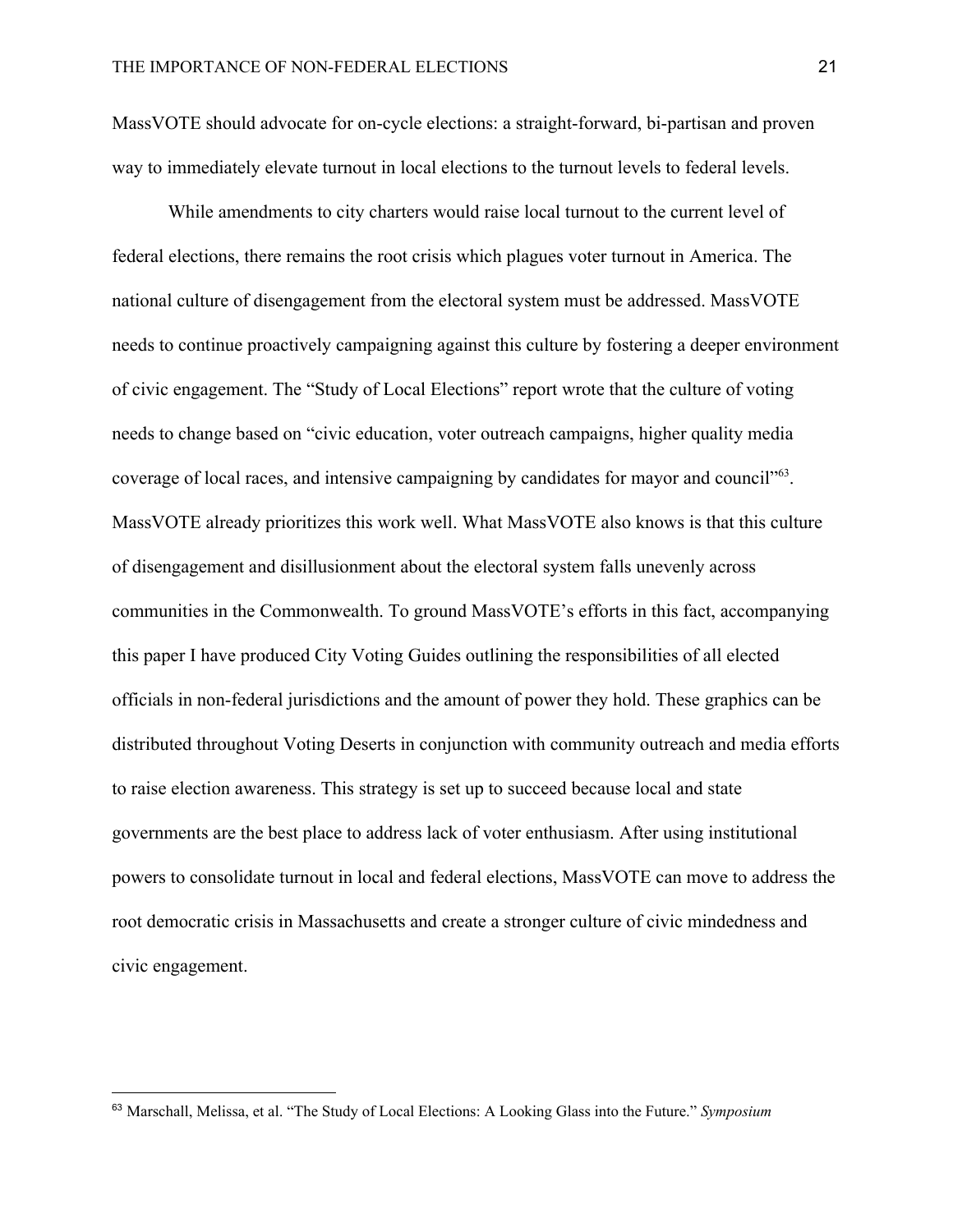MassVOTE should advocate for on-cycle elections: a straight-forward, bi-partisan and proven way to immediately elevate turnout in local elections to the turnout levels to federal levels.

While amendments to city charters would raise local turnout to the current level of federal elections, there remains the root crisis which plagues voter turnout in America. The national culture of disengagement from the electoral system must be addressed. MassVOTE needs to continue proactively campaigning against this culture by fostering a deeper environment of civic engagement. The "Study of Local Elections" report wrote that the culture of voting needs to change based on "civic education, voter outreach campaigns, higher quality media coverage of local races, and intensive campaigning by candidates for mayor and council"<sup>63</sup>. MassVOTE already prioritizes this work well. What MassVOTE also knows is that this culture of disengagement and disillusionment about the electoral system falls unevenly across communities in the Commonwealth. To ground MassVOTE's efforts in this fact, accompanying this paper I have produced City Voting Guides outlining the responsibilities of all elected officials in non-federal jurisdictions and the amount of power they hold. These graphics can be distributed throughout Voting Deserts in conjunction with community outreach and media efforts to raise election awareness. This strategy is set up to succeed because local and state governments are the best place to address lack of voter enthusiasm. After using institutional powers to consolidate turnout in local and federal elections, MassVOTE can move to address the root democratic crisis in Massachusetts and create a stronger culture of civic mindedness and civic engagement.

<sup>63</sup> Marschall, Melissa, et al. "The Study of Local Elections: A Looking Glass into the Future." *Symposium*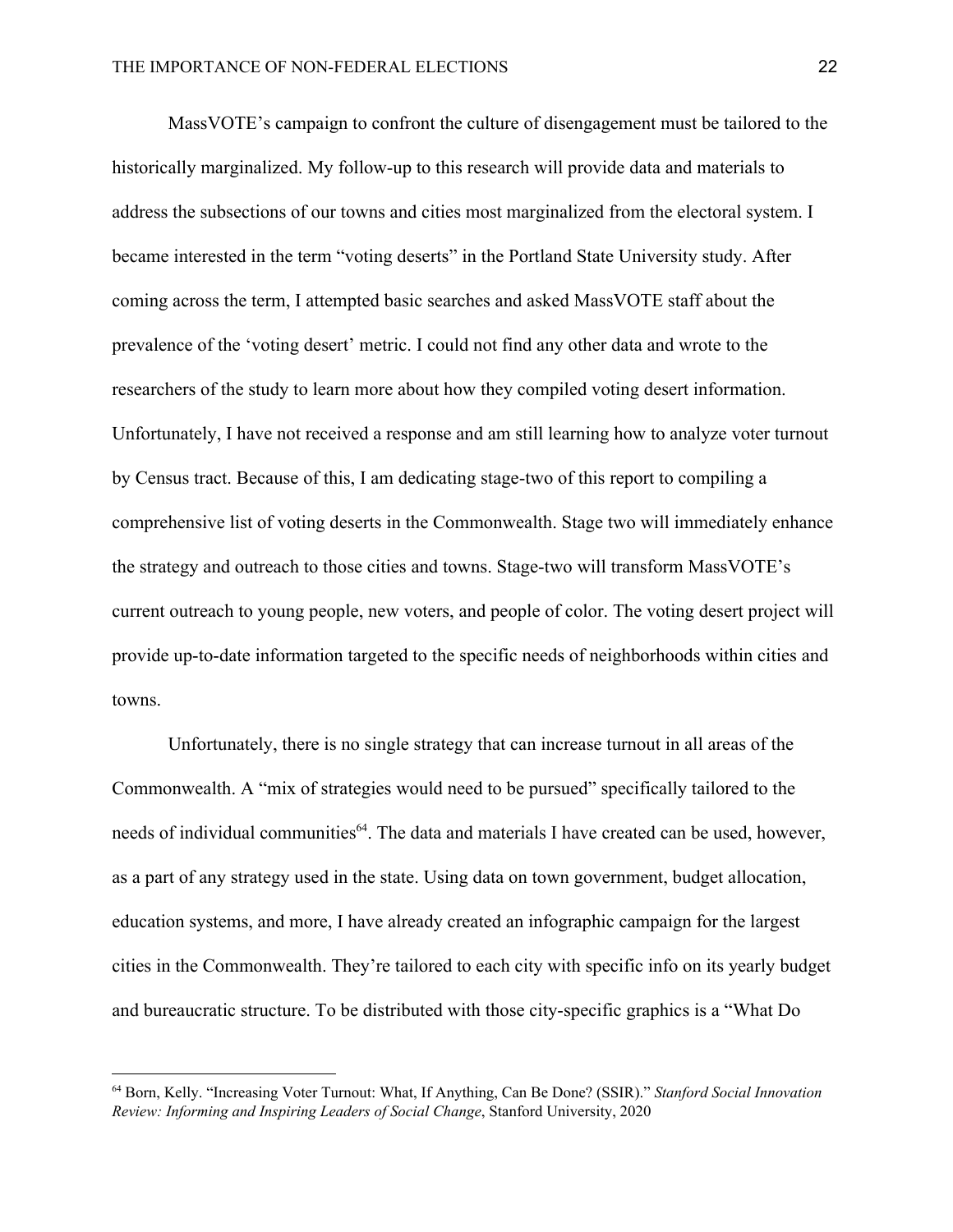MassVOTE's campaign to confront the culture of disengagement must be tailored to the historically marginalized. My follow-up to this research will provide data and materials to address the subsections of our towns and cities most marginalized from the electoral system. I became interested in the term "voting deserts" in the Portland State University study. After coming across the term, I attempted basic searches and asked MassVOTE staff about the prevalence of the 'voting desert' metric. I could not find any other data and wrote to the researchers of the study to learn more about how they compiled voting desert information. Unfortunately, I have not received a response and am still learning how to analyze voter turnout by Census tract. Because of this, I am dedicating stage-two of this report to compiling a comprehensive list of voting deserts in the Commonwealth. Stage two will immediately enhance the strategy and outreach to those cities and towns. Stage-two will transform MassVOTE's current outreach to young people, new voters, and people of color. The voting desert project will provide up-to-date information targeted to the specific needs of neighborhoods within cities and towns.

Unfortunately, there is no single strategy that can increase turnout in all areas of the Commonwealth. A "mix of strategies would need to be pursued" specifically tailored to the needs of individual communities<sup>64</sup>. The data and materials I have created can be used, however, as a part of any strategy used in the state. Using data on town government, budget allocation, education systems, and more, I have already created an infographic campaign for the largest cities in the Commonwealth. They're tailored to each city with specific info on its yearly budget and bureaucratic structure. To be distributed with those city-specific graphics is a "What Do

<sup>64</sup> Born, Kelly. "Increasing Voter Turnout: What, If Anything, Can Be Done? (SSIR)." *Stanford Social Innovation Review: Informing and Inspiring Leaders of Social Change*, Stanford University, 2020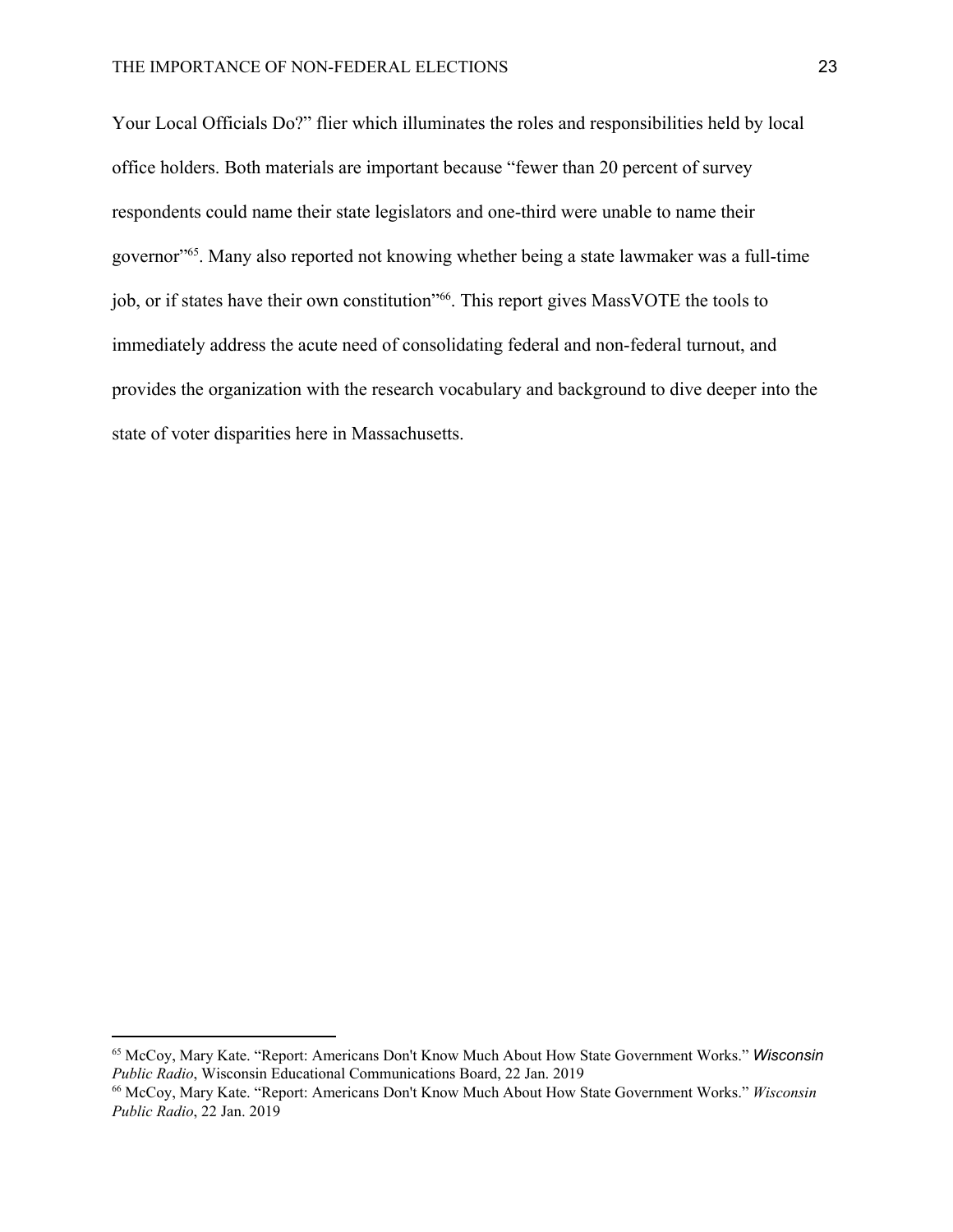Your Local Officials Do?" flier which illuminates the roles and responsibilities held by local office holders. Both materials are important because "fewer than 20 percent of survey respondents could name their state legislators and one-third were unable to name their governor"<sup>55</sup>. Many also reported not knowing whether being a state lawmaker was a full-time job, or if states have their own constitution"<sup>66</sup>. This report gives MassVOTE the tools to immediately address the acute need of consolidating federal and non-federal turnout, and provides the organization with the research vocabulary and background to dive deeper into the state of voter disparities here in Massachusetts.

<sup>65</sup> McCoy, Mary Kate. "Report: Americans Don't Know Much About How State Government Works." *Wisconsin Public Radio*, Wisconsin Educational Communications Board, 22 Jan. 2019

<sup>66</sup> McCoy, Mary Kate. "Report: Americans Don't Know Much About How State Government Works." *Wisconsin Public Radio*, 22 Jan. 2019